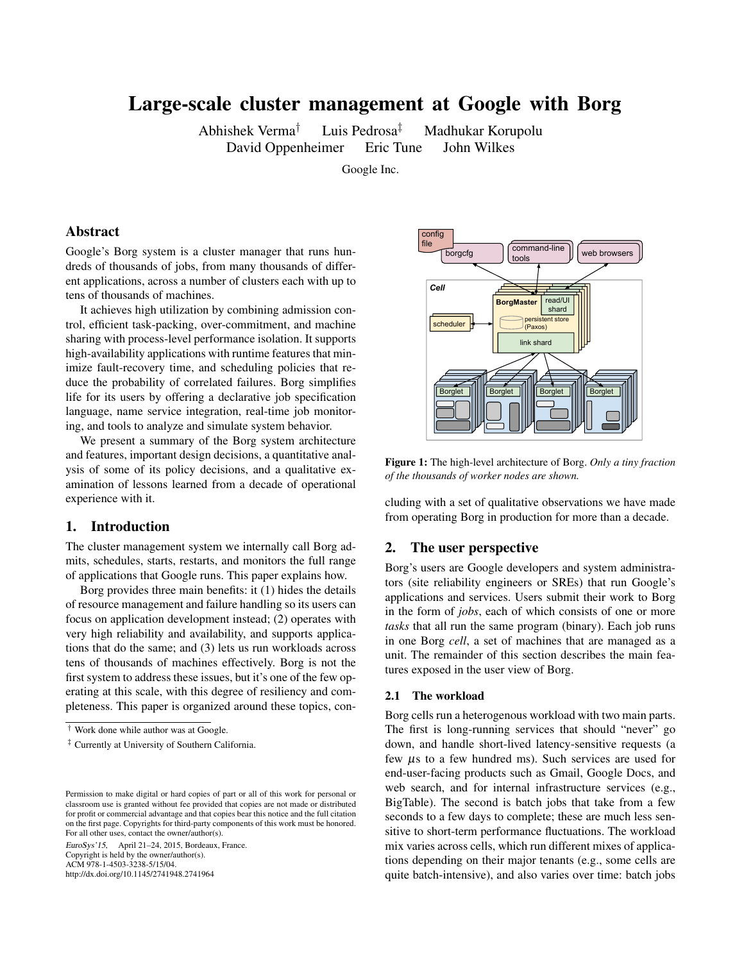# Large-scale cluster management at Google with Borg

Abhishek Verma† Luis Pedrosa‡ Madhukar Korupolu David Oppenheimer Eric Tune John Wilkes

Google Inc.

# Abstract

Google's Borg system is a cluster manager that runs hundreds of thousands of jobs, from many thousands of different applications, across a number of clusters each with up to tens of thousands of machines.

It achieves high utilization by combining admission control, efficient task-packing, over-commitment, and machine sharing with process-level performance isolation. It supports high-availability applications with runtime features that minimize fault-recovery time, and scheduling policies that reduce the probability of correlated failures. Borg simplifies life for its users by offering a declarative job specification language, name service integration, real-time job monitoring, and tools to analyze and simulate system behavior.

We present a summary of the Borg system architecture and features, important design decisions, a quantitative analysis of some of its policy decisions, and a qualitative examination of lessons learned from a decade of operational experience with it.

# 1. Introduction

The cluster management system we internally call Borg admits, schedules, starts, restarts, and monitors the full range of applications that Google runs. This paper explains how.

Borg provides three main benefits: it (1) hides the details of resource management and failure handling so its users can focus on application development instead; (2) operates with very high reliability and availability, and supports applications that do the same; and (3) lets us run workloads across tens of thousands of machines effectively. Borg is not the first system to address these issues, but it's one of the few operating at this scale, with this degree of resiliency and completeness. This paper is organized around these topics, con-

EuroSys'15, April 21–24, 2015, Bordeaux, France. Copyright is held by the owner/author(s). ACM 978-1-4503-3238-5/15/04. http://dx.doi.org/10.1145/2741948.2741964



Figure 1: The high-level architecture of Borg. *Only a tiny fraction of the thousands of worker nodes are shown.*

cluding with a set of qualitative observations we have made from operating Borg in production for more than a decade.

# 2. The user perspective

Borg's users are Google developers and system administrators (site reliability engineers or SREs) that run Google's applications and services. Users submit their work to Borg in the form of *jobs*, each of which consists of one or more *tasks* that all run the same program (binary). Each job runs in one Borg *cell*, a set of machines that are managed as a unit. The remainder of this section describes the main features exposed in the user view of Borg.

#### 2.1 The workload

Borg cells run a heterogenous workload with two main parts. The first is long-running services that should "never" go down, and handle short-lived latency-sensitive requests (a few  $\mu$ s to a few hundred ms). Such services are used for end-user-facing products such as Gmail, Google Docs, and web search, and for internal infrastructure services (e.g., BigTable). The second is batch jobs that take from a few seconds to a few days to complete; these are much less sensitive to short-term performance fluctuations. The workload mix varies across cells, which run different mixes of applications depending on their major tenants (e.g., some cells are quite batch-intensive), and also varies over time: batch jobs

<sup>†</sup> Work done while author was at Google.

<sup>‡</sup> Currently at University of Southern California.

Permission to make digital or hard copies of part or all of this work for personal or classroom use is granted without fee provided that copies are not made or distributed for profit or commercial advantage and that copies bear this notice and the full citation on the first page. Copyrights for third-party components of this work must be honored. For all other uses, contact the owner/author(s).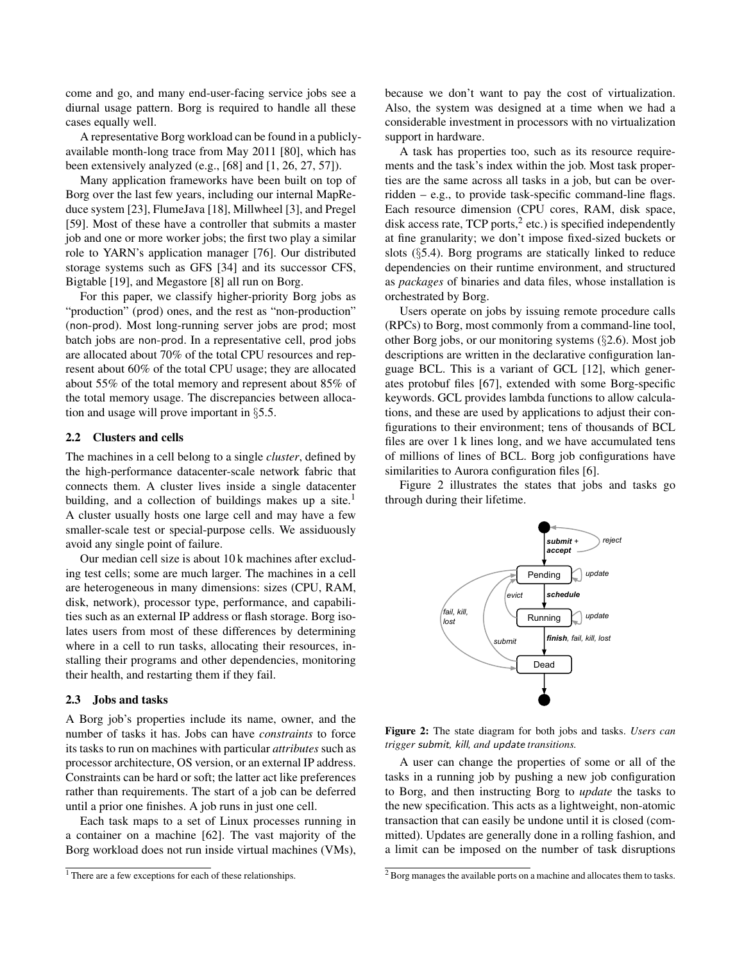come and go, and many end-user-facing service jobs see a diurnal usage pattern. Borg is required to handle all these cases equally well.

A representative Borg workload can be found in a publiclyavailable month-long trace from May 2011 [80], which has been extensively analyzed (e.g., [68] and [1, 26, 27, 57]).

Many application frameworks have been built on top of Borg over the last few years, including our internal MapReduce system [23], FlumeJava [18], Millwheel [3], and Pregel [59]. Most of these have a controller that submits a master job and one or more worker jobs; the first two play a similar role to YARN's application manager [76]. Our distributed storage systems such as GFS [34] and its successor CFS, Bigtable [19], and Megastore [8] all run on Borg.

For this paper, we classify higher-priority Borg jobs as "production" (prod) ones, and the rest as "non-production" (non-prod). Most long-running server jobs are prod; most batch jobs are non-prod. In a representative cell, prod jobs are allocated about 70% of the total CPU resources and represent about 60% of the total CPU usage; they are allocated about 55% of the total memory and represent about 85% of the total memory usage. The discrepancies between allocation and usage will prove important in §5.5.

#### 2.2 Clusters and cells

The machines in a cell belong to a single *cluster*, defined by the high-performance datacenter-scale network fabric that connects them. A cluster lives inside a single datacenter building, and a collection of buildings makes up a site.<sup>1</sup> A cluster usually hosts one large cell and may have a few smaller-scale test or special-purpose cells. We assiduously avoid any single point of failure.

Our median cell size is about 10 k machines after excluding test cells; some are much larger. The machines in a cell are heterogeneous in many dimensions: sizes (CPU, RAM, disk, network), processor type, performance, and capabilities such as an external IP address or flash storage. Borg isolates users from most of these differences by determining where in a cell to run tasks, allocating their resources, installing their programs and other dependencies, monitoring their health, and restarting them if they fail.

## 2.3 Jobs and tasks

A Borg job's properties include its name, owner, and the number of tasks it has. Jobs can have *constraints* to force its tasks to run on machines with particular *attributes* such as processor architecture, OS version, or an external IP address. Constraints can be hard or soft; the latter act like preferences rather than requirements. The start of a job can be deferred until a prior one finishes. A job runs in just one cell.

Each task maps to a set of Linux processes running in a container on a machine [62]. The vast majority of the Borg workload does not run inside virtual machines (VMs),

because we don't want to pay the cost of virtualization. Also, the system was designed at a time when we had a considerable investment in processors with no virtualization support in hardware.

A task has properties too, such as its resource requirements and the task's index within the job. Most task properties are the same across all tasks in a job, but can be overridden – e.g., to provide task-specific command-line flags. Each resource dimension (CPU cores, RAM, disk space, disk access rate, TCP ports,<sup>2</sup> etc.) is specified independently at fine granularity; we don't impose fixed-sized buckets or slots (§5.4). Borg programs are statically linked to reduce dependencies on their runtime environment, and structured as *packages* of binaries and data files, whose installation is orchestrated by Borg.

Users operate on jobs by issuing remote procedure calls (RPCs) to Borg, most commonly from a command-line tool, other Borg jobs, or our monitoring systems (§2.6). Most job descriptions are written in the declarative configuration language BCL. This is a variant of GCL [12], which generates protobuf files [67], extended with some Borg-specific keywords. GCL provides lambda functions to allow calculations, and these are used by applications to adjust their configurations to their environment; tens of thousands of BCL files are over 1 k lines long, and we have accumulated tens of millions of lines of BCL. Borg job configurations have similarities to Aurora configuration files [6].

Figure 2 illustrates the states that jobs and tasks go through during their lifetime.



Figure 2: The state diagram for both jobs and tasks. *Users can trigger* submit*,* kill*, and* update *transitions.*

A user can change the properties of some or all of the tasks in a running job by pushing a new job configuration to Borg, and then instructing Borg to *update* the tasks to the new specification. This acts as a lightweight, non-atomic transaction that can easily be undone until it is closed (committed). Updates are generally done in a rolling fashion, and a limit can be imposed on the number of task disruptions

<sup>&</sup>lt;sup>1</sup> There are a few exceptions for each of these relationships.

<sup>2</sup> Borg manages the available ports on a machine and allocates them to tasks.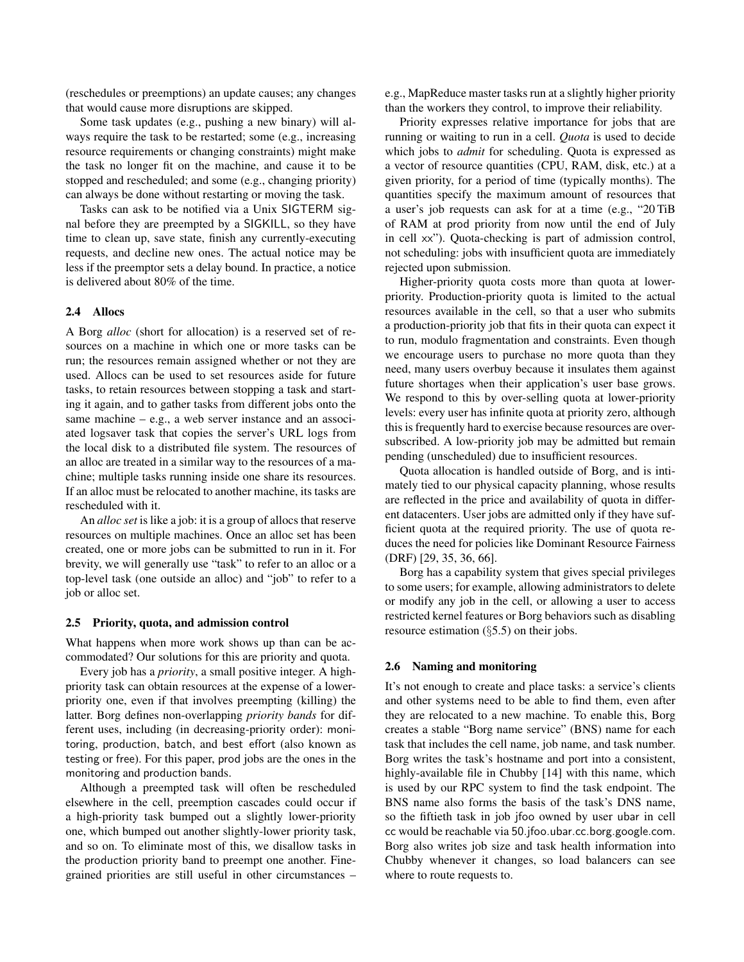(reschedules or preemptions) an update causes; any changes that would cause more disruptions are skipped.

Some task updates (e.g., pushing a new binary) will always require the task to be restarted; some (e.g., increasing resource requirements or changing constraints) might make the task no longer fit on the machine, and cause it to be stopped and rescheduled; and some (e.g., changing priority) can always be done without restarting or moving the task.

Tasks can ask to be notified via a Unix SIGTERM signal before they are preempted by a SIGKILL, so they have time to clean up, save state, finish any currently-executing requests, and decline new ones. The actual notice may be less if the preemptor sets a delay bound. In practice, a notice is delivered about 80% of the time.

## 2.4 Allocs

A Borg *alloc* (short for allocation) is a reserved set of resources on a machine in which one or more tasks can be run; the resources remain assigned whether or not they are used. Allocs can be used to set resources aside for future tasks, to retain resources between stopping a task and starting it again, and to gather tasks from different jobs onto the same machine – e.g., a web server instance and an associated logsaver task that copies the server's URL logs from the local disk to a distributed file system. The resources of an alloc are treated in a similar way to the resources of a machine; multiple tasks running inside one share its resources. If an alloc must be relocated to another machine, its tasks are rescheduled with it.

An *alloc set* is like a job: it is a group of allocs that reserve resources on multiple machines. Once an alloc set has been created, one or more jobs can be submitted to run in it. For brevity, we will generally use "task" to refer to an alloc or a top-level task (one outside an alloc) and "job" to refer to a job or alloc set.

#### 2.5 Priority, quota, and admission control

What happens when more work shows up than can be accommodated? Our solutions for this are priority and quota.

Every job has a *priority*, a small positive integer. A highpriority task can obtain resources at the expense of a lowerpriority one, even if that involves preempting (killing) the latter. Borg defines non-overlapping *priority bands* for different uses, including (in decreasing-priority order): monitoring, production, batch, and best effort (also known as testing or free). For this paper, prod jobs are the ones in the monitoring and production bands.

Although a preempted task will often be rescheduled elsewhere in the cell, preemption cascades could occur if a high-priority task bumped out a slightly lower-priority one, which bumped out another slightly-lower priority task, and so on. To eliminate most of this, we disallow tasks in the production priority band to preempt one another. Finegrained priorities are still useful in other circumstances –

e.g., MapReduce master tasks run at a slightly higher priority than the workers they control, to improve their reliability.

Priority expresses relative importance for jobs that are running or waiting to run in a cell. *Quota* is used to decide which jobs to *admit* for scheduling. Quota is expressed as a vector of resource quantities (CPU, RAM, disk, etc.) at a given priority, for a period of time (typically months). The quantities specify the maximum amount of resources that a user's job requests can ask for at a time (e.g., "20 TiB of RAM at prod priority from now until the end of July in cell xx"). Quota-checking is part of admission control, not scheduling: jobs with insufficient quota are immediately rejected upon submission.

Higher-priority quota costs more than quota at lowerpriority. Production-priority quota is limited to the actual resources available in the cell, so that a user who submits a production-priority job that fits in their quota can expect it to run, modulo fragmentation and constraints. Even though we encourage users to purchase no more quota than they need, many users overbuy because it insulates them against future shortages when their application's user base grows. We respond to this by over-selling quota at lower-priority levels: every user has infinite quota at priority zero, although this is frequently hard to exercise because resources are oversubscribed. A low-priority job may be admitted but remain pending (unscheduled) due to insufficient resources.

Quota allocation is handled outside of Borg, and is intimately tied to our physical capacity planning, whose results are reflected in the price and availability of quota in different datacenters. User jobs are admitted only if they have sufficient quota at the required priority. The use of quota reduces the need for policies like Dominant Resource Fairness (DRF) [29, 35, 36, 66].

Borg has a capability system that gives special privileges to some users; for example, allowing administrators to delete or modify any job in the cell, or allowing a user to access restricted kernel features or Borg behaviors such as disabling resource estimation (§5.5) on their jobs.

### 2.6 Naming and monitoring

It's not enough to create and place tasks: a service's clients and other systems need to be able to find them, even after they are relocated to a new machine. To enable this, Borg creates a stable "Borg name service" (BNS) name for each task that includes the cell name, job name, and task number. Borg writes the task's hostname and port into a consistent, highly-available file in Chubby [14] with this name, which is used by our RPC system to find the task endpoint. The BNS name also forms the basis of the task's DNS name, so the fiftieth task in job jfoo owned by user ubar in cell cc would be reachable via 50.jfoo.ubar.cc.borg.google.com. Borg also writes job size and task health information into Chubby whenever it changes, so load balancers can see where to route requests to.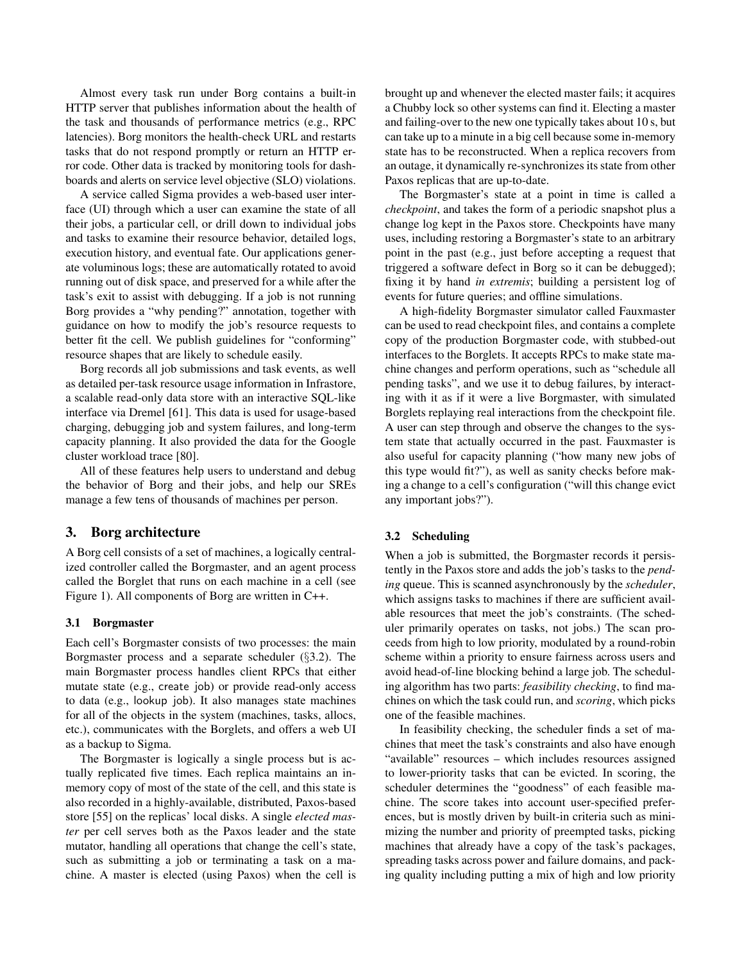Almost every task run under Borg contains a built-in HTTP server that publishes information about the health of the task and thousands of performance metrics (e.g., RPC latencies). Borg monitors the health-check URL and restarts tasks that do not respond promptly or return an HTTP error code. Other data is tracked by monitoring tools for dashboards and alerts on service level objective (SLO) violations.

A service called Sigma provides a web-based user interface (UI) through which a user can examine the state of all their jobs, a particular cell, or drill down to individual jobs and tasks to examine their resource behavior, detailed logs, execution history, and eventual fate. Our applications generate voluminous logs; these are automatically rotated to avoid running out of disk space, and preserved for a while after the task's exit to assist with debugging. If a job is not running Borg provides a "why pending?" annotation, together with guidance on how to modify the job's resource requests to better fit the cell. We publish guidelines for "conforming" resource shapes that are likely to schedule easily.

Borg records all job submissions and task events, as well as detailed per-task resource usage information in Infrastore, a scalable read-only data store with an interactive SQL-like interface via Dremel [61]. This data is used for usage-based charging, debugging job and system failures, and long-term capacity planning. It also provided the data for the Google cluster workload trace [80].

All of these features help users to understand and debug the behavior of Borg and their jobs, and help our SREs manage a few tens of thousands of machines per person.

## 3. Borg architecture

A Borg cell consists of a set of machines, a logically centralized controller called the Borgmaster, and an agent process called the Borglet that runs on each machine in a cell (see Figure 1). All components of Borg are written in C++.

#### 3.1 Borgmaster

Each cell's Borgmaster consists of two processes: the main Borgmaster process and a separate scheduler (§3.2). The main Borgmaster process handles client RPCs that either mutate state (e.g., create job) or provide read-only access to data (e.g., lookup job). It also manages state machines for all of the objects in the system (machines, tasks, allocs, etc.), communicates with the Borglets, and offers a web UI as a backup to Sigma.

The Borgmaster is logically a single process but is actually replicated five times. Each replica maintains an inmemory copy of most of the state of the cell, and this state is also recorded in a highly-available, distributed, Paxos-based store [55] on the replicas' local disks. A single *elected master* per cell serves both as the Paxos leader and the state mutator, handling all operations that change the cell's state, such as submitting a job or terminating a task on a machine. A master is elected (using Paxos) when the cell is

brought up and whenever the elected master fails; it acquires a Chubby lock so other systems can find it. Electing a master and failing-over to the new one typically takes about 10 s, but can take up to a minute in a big cell because some in-memory state has to be reconstructed. When a replica recovers from an outage, it dynamically re-synchronizes its state from other Paxos replicas that are up-to-date.

The Borgmaster's state at a point in time is called a *checkpoint*, and takes the form of a periodic snapshot plus a change log kept in the Paxos store. Checkpoints have many uses, including restoring a Borgmaster's state to an arbitrary point in the past (e.g., just before accepting a request that triggered a software defect in Borg so it can be debugged); fixing it by hand *in extremis*; building a persistent log of events for future queries; and offline simulations.

A high-fidelity Borgmaster simulator called Fauxmaster can be used to read checkpoint files, and contains a complete copy of the production Borgmaster code, with stubbed-out interfaces to the Borglets. It accepts RPCs to make state machine changes and perform operations, such as "schedule all pending tasks", and we use it to debug failures, by interacting with it as if it were a live Borgmaster, with simulated Borglets replaying real interactions from the checkpoint file. A user can step through and observe the changes to the system state that actually occurred in the past. Fauxmaster is also useful for capacity planning ("how many new jobs of this type would fit?"), as well as sanity checks before making a change to a cell's configuration ("will this change evict any important jobs?").

#### 3.2 Scheduling

When a job is submitted, the Borgmaster records it persistently in the Paxos store and adds the job's tasks to the *pending* queue. This is scanned asynchronously by the *scheduler*, which assigns tasks to machines if there are sufficient available resources that meet the job's constraints. (The scheduler primarily operates on tasks, not jobs.) The scan proceeds from high to low priority, modulated by a round-robin scheme within a priority to ensure fairness across users and avoid head-of-line blocking behind a large job. The scheduling algorithm has two parts: *feasibility checking*, to find machines on which the task could run, and *scoring*, which picks one of the feasible machines.

In feasibility checking, the scheduler finds a set of machines that meet the task's constraints and also have enough "available" resources – which includes resources assigned to lower-priority tasks that can be evicted. In scoring, the scheduler determines the "goodness" of each feasible machine. The score takes into account user-specified preferences, but is mostly driven by built-in criteria such as minimizing the number and priority of preempted tasks, picking machines that already have a copy of the task's packages, spreading tasks across power and failure domains, and packing quality including putting a mix of high and low priority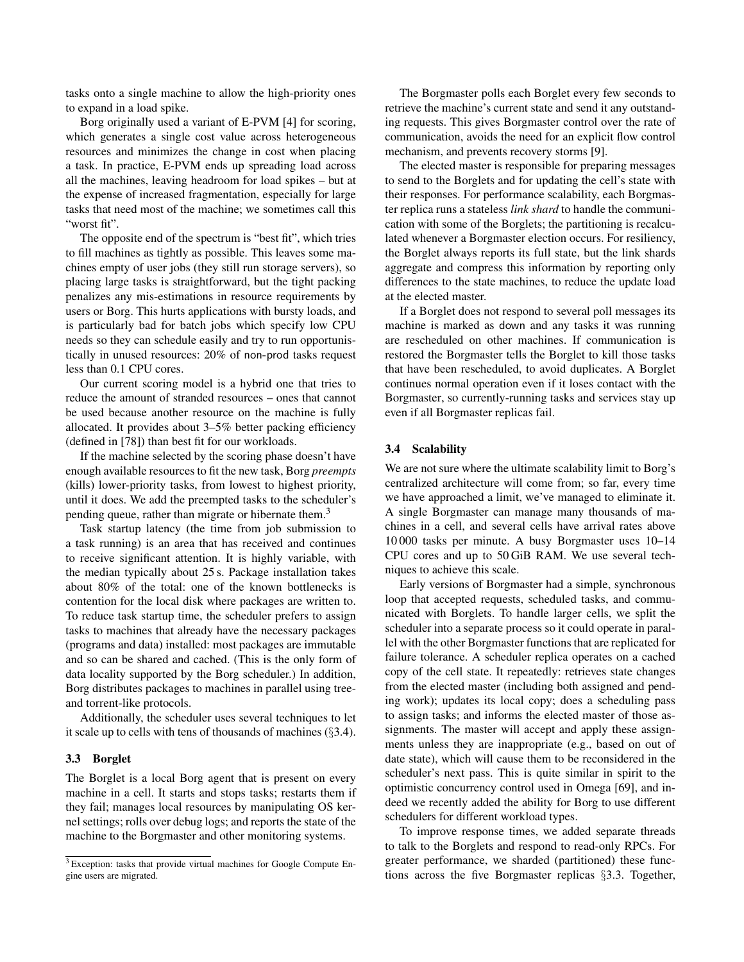tasks onto a single machine to allow the high-priority ones to expand in a load spike.

Borg originally used a variant of E-PVM [4] for scoring, which generates a single cost value across heterogeneous resources and minimizes the change in cost when placing a task. In practice, E-PVM ends up spreading load across all the machines, leaving headroom for load spikes – but at the expense of increased fragmentation, especially for large tasks that need most of the machine; we sometimes call this "worst fit".

The opposite end of the spectrum is "best fit", which tries to fill machines as tightly as possible. This leaves some machines empty of user jobs (they still run storage servers), so placing large tasks is straightforward, but the tight packing penalizes any mis-estimations in resource requirements by users or Borg. This hurts applications with bursty loads, and is particularly bad for batch jobs which specify low CPU needs so they can schedule easily and try to run opportunistically in unused resources: 20% of non-prod tasks request less than 0.1 CPU cores.

Our current scoring model is a hybrid one that tries to reduce the amount of stranded resources – ones that cannot be used because another resource on the machine is fully allocated. It provides about 3–5% better packing efficiency (defined in [78]) than best fit for our workloads.

If the machine selected by the scoring phase doesn't have enough available resources to fit the new task, Borg *preempts* (kills) lower-priority tasks, from lowest to highest priority, until it does. We add the preempted tasks to the scheduler's pending queue, rather than migrate or hibernate them.<sup>3</sup>

Task startup latency (the time from job submission to a task running) is an area that has received and continues to receive significant attention. It is highly variable, with the median typically about 25 s. Package installation takes about 80% of the total: one of the known bottlenecks is contention for the local disk where packages are written to. To reduce task startup time, the scheduler prefers to assign tasks to machines that already have the necessary packages (programs and data) installed: most packages are immutable and so can be shared and cached. (This is the only form of data locality supported by the Borg scheduler.) In addition, Borg distributes packages to machines in parallel using treeand torrent-like protocols.

Additionally, the scheduler uses several techniques to let it scale up to cells with tens of thousands of machines (§3.4).

#### 3.3 Borglet

The Borglet is a local Borg agent that is present on every machine in a cell. It starts and stops tasks; restarts them if they fail; manages local resources by manipulating OS kernel settings; rolls over debug logs; and reports the state of the machine to the Borgmaster and other monitoring systems.

The Borgmaster polls each Borglet every few seconds to retrieve the machine's current state and send it any outstanding requests. This gives Borgmaster control over the rate of communication, avoids the need for an explicit flow control mechanism, and prevents recovery storms [9].

The elected master is responsible for preparing messages to send to the Borglets and for updating the cell's state with their responses. For performance scalability, each Borgmaster replica runs a stateless *link shard* to handle the communication with some of the Borglets; the partitioning is recalculated whenever a Borgmaster election occurs. For resiliency, the Borglet always reports its full state, but the link shards aggregate and compress this information by reporting only differences to the state machines, to reduce the update load at the elected master.

If a Borglet does not respond to several poll messages its machine is marked as down and any tasks it was running are rescheduled on other machines. If communication is restored the Borgmaster tells the Borglet to kill those tasks that have been rescheduled, to avoid duplicates. A Borglet continues normal operation even if it loses contact with the Borgmaster, so currently-running tasks and services stay up even if all Borgmaster replicas fail.

#### 3.4 Scalability

We are not sure where the ultimate scalability limit to Borg's centralized architecture will come from; so far, every time we have approached a limit, we've managed to eliminate it. A single Borgmaster can manage many thousands of machines in a cell, and several cells have arrival rates above 10 000 tasks per minute. A busy Borgmaster uses 10–14 CPU cores and up to 50 GiB RAM. We use several techniques to achieve this scale.

Early versions of Borgmaster had a simple, synchronous loop that accepted requests, scheduled tasks, and communicated with Borglets. To handle larger cells, we split the scheduler into a separate process so it could operate in parallel with the other Borgmaster functions that are replicated for failure tolerance. A scheduler replica operates on a cached copy of the cell state. It repeatedly: retrieves state changes from the elected master (including both assigned and pending work); updates its local copy; does a scheduling pass to assign tasks; and informs the elected master of those assignments. The master will accept and apply these assignments unless they are inappropriate (e.g., based on out of date state), which will cause them to be reconsidered in the scheduler's next pass. This is quite similar in spirit to the optimistic concurrency control used in Omega [69], and indeed we recently added the ability for Borg to use different schedulers for different workload types.

To improve response times, we added separate threads to talk to the Borglets and respond to read-only RPCs. For greater performance, we sharded (partitioned) these functions across the five Borgmaster replicas §3.3. Together,

<sup>&</sup>lt;sup>3</sup> Exception: tasks that provide virtual machines for Google Compute Engine users are migrated.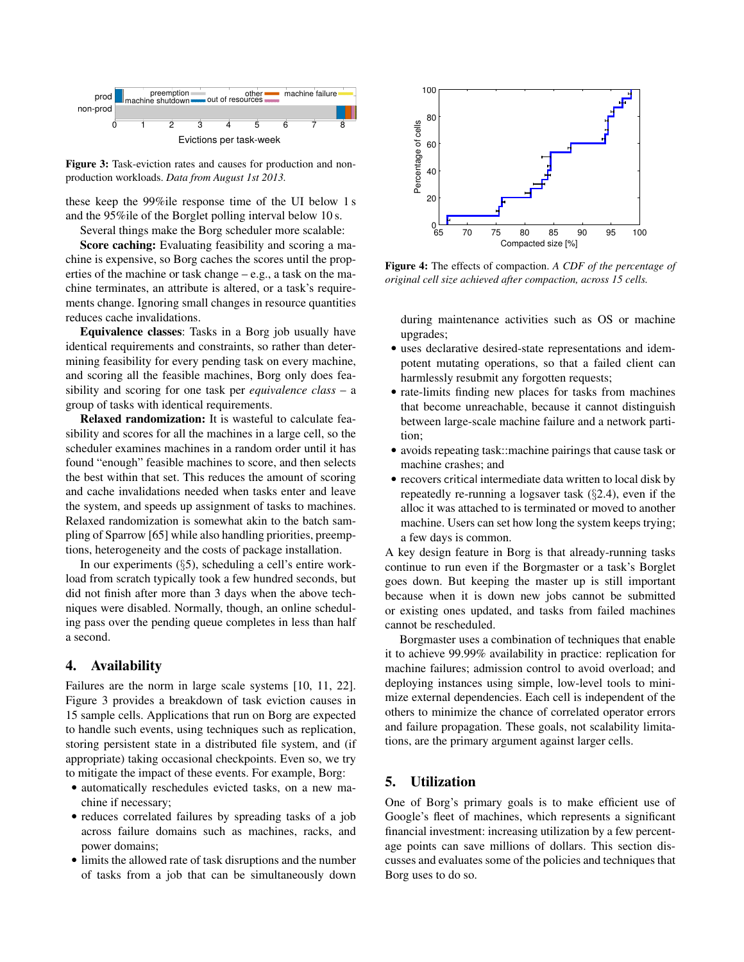

Figure 3: Task-eviction rates and causes for production and nonproduction workloads. *Data from August 1st 2013.*

these keep the 99%ile response time of the UI below 1 s and the 95%ile of the Borglet polling interval below 10 s.

Several things make the Borg scheduler more scalable:

Score caching: Evaluating feasibility and scoring a machine is expensive, so Borg caches the scores until the properties of the machine or task change – e.g., a task on the machine terminates, an attribute is altered, or a task's requirements change. Ignoring small changes in resource quantities reduces cache invalidations.

Equivalence classes: Tasks in a Borg job usually have identical requirements and constraints, so rather than determining feasibility for every pending task on every machine, and scoring all the feasible machines, Borg only does feasibility and scoring for one task per *equivalence class* – a group of tasks with identical requirements.

Relaxed randomization: It is wasteful to calculate feasibility and scores for all the machines in a large cell, so the scheduler examines machines in a random order until it has found "enough" feasible machines to score, and then selects the best within that set. This reduces the amount of scoring and cache invalidations needed when tasks enter and leave the system, and speeds up assignment of tasks to machines. Relaxed randomization is somewhat akin to the batch sampling of Sparrow [65] while also handling priorities, preemptions, heterogeneity and the costs of package installation.

In our experiments (§5), scheduling a cell's entire workload from scratch typically took a few hundred seconds, but did not finish after more than 3 days when the above techniques were disabled. Normally, though, an online scheduling pass over the pending queue completes in less than half a second.

## 4. Availability

Failures are the norm in large scale systems [10, 11, 22]. Figure 3 provides a breakdown of task eviction causes in 15 sample cells. Applications that run on Borg are expected to handle such events, using techniques such as replication, storing persistent state in a distributed file system, and (if appropriate) taking occasional checkpoints. Even so, we try to mitigate the impact of these events. For example, Borg:

- automatically reschedules evicted tasks, on a new machine if necessary;
- reduces correlated failures by spreading tasks of a job across failure domains such as machines, racks, and power domains;
- limits the allowed rate of task disruptions and the number of tasks from a job that can be simultaneously down



Figure 4: The effects of compaction. *A CDF of the percentage of original cell size achieved after compaction, across 15 cells.*

during maintenance activities such as OS or machine upgrades;

- uses declarative desired-state representations and idempotent mutating operations, so that a failed client can harmlessly resubmit any forgotten requests;
- rate-limits finding new places for tasks from machines that become unreachable, because it cannot distinguish between large-scale machine failure and a network partition;
- avoids repeating task::machine pairings that cause task or machine crashes; and
- recovers critical intermediate data written to local disk by repeatedly re-running a logsaver task (§2.4), even if the alloc it was attached to is terminated or moved to another machine. Users can set how long the system keeps trying; a few days is common.

A key design feature in Borg is that already-running tasks continue to run even if the Borgmaster or a task's Borglet goes down. But keeping the master up is still important because when it is down new jobs cannot be submitted or existing ones updated, and tasks from failed machines cannot be rescheduled.

Borgmaster uses a combination of techniques that enable it to achieve 99.99% availability in practice: replication for machine failures; admission control to avoid overload; and deploying instances using simple, low-level tools to minimize external dependencies. Each cell is independent of the others to minimize the chance of correlated operator errors and failure propagation. These goals, not scalability limitations, are the primary argument against larger cells.

# 5. Utilization

One of Borg's primary goals is to make efficient use of Google's fleet of machines, which represents a significant financial investment: increasing utilization by a few percentage points can save millions of dollars. This section discusses and evaluates some of the policies and techniques that Borg uses to do so.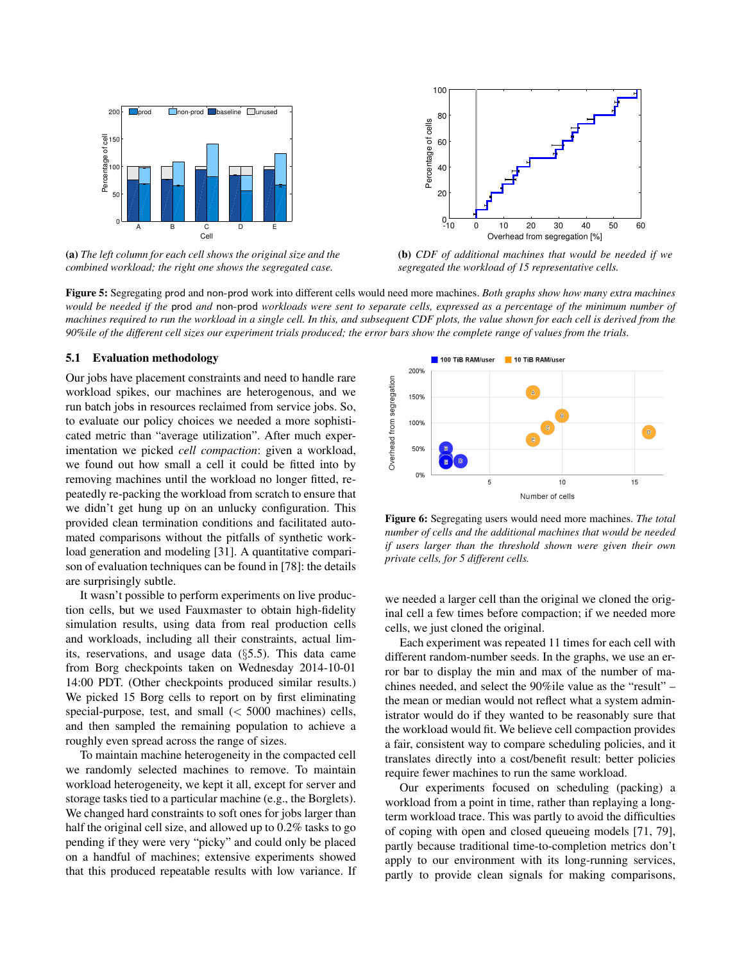

(a) *The left column for each cell shows the original size and the combined workload; the right one shows the segregated case.*



(b) *CDF of additional machines that would be needed if we segregated the workload of 15 representative cells.*

Figure 5: Segregating prod and non-prod work into different cells would need more machines. *Both graphs show how many extra machines would be needed if the* prod *and* non-prod *workloads were sent to separate cells, expressed as a percentage of the minimum number of machines required to run the workload in a single cell. In this, and subsequent CDF plots, the value shown for each cell is derived from the 90%ile of the different cell sizes our experiment trials produced; the error bars show the complete range of values from the trials.*

### 5.1 Evaluation methodology

Our jobs have placement constraints and need to handle rare workload spikes, our machines are heterogenous, and we run batch jobs in resources reclaimed from service jobs. So, to evaluate our policy choices we needed a more sophisticated metric than "average utilization". After much experimentation we picked *cell compaction*: given a workload, we found out how small a cell it could be fitted into by removing machines until the workload no longer fitted, repeatedly re-packing the workload from scratch to ensure that we didn't get hung up on an unlucky configuration. This provided clean termination conditions and facilitated automated comparisons without the pitfalls of synthetic workload generation and modeling [31]. A quantitative comparison of evaluation techniques can be found in [78]: the details are surprisingly subtle.

It wasn't possible to perform experiments on live production cells, but we used Fauxmaster to obtain high-fidelity simulation results, using data from real production cells and workloads, including all their constraints, actual limits, reservations, and usage data (§5.5). This data came from Borg checkpoints taken on Wednesday 2014-10-01 14:00 PDT. (Other checkpoints produced similar results.) We picked 15 Borg cells to report on by first eliminating special-purpose, test, and small  $( $5000$  machines) cells,$ and then sampled the remaining population to achieve a roughly even spread across the range of sizes.

To maintain machine heterogeneity in the compacted cell we randomly selected machines to remove. To maintain workload heterogeneity, we kept it all, except for server and storage tasks tied to a particular machine (e.g., the Borglets). We changed hard constraints to soft ones for jobs larger than half the original cell size, and allowed up to 0.2% tasks to go pending if they were very "picky" and could only be placed on a handful of machines; extensive experiments showed that this produced repeatable results with low variance. If



Figure 6: Segregating users would need more machines. *The total number of cells and the additional machines that would be needed if users larger than the threshold shown were given their own private cells, for 5 different cells.*

we needed a larger cell than the original we cloned the original cell a few times before compaction; if we needed more cells, we just cloned the original.

Each experiment was repeated 11 times for each cell with different random-number seeds. In the graphs, we use an error bar to display the min and max of the number of machines needed, and select the 90%ile value as the "result" – the mean or median would not reflect what a system administrator would do if they wanted to be reasonably sure that the workload would fit. We believe cell compaction provides a fair, consistent way to compare scheduling policies, and it translates directly into a cost/benefit result: better policies require fewer machines to run the same workload.

Our experiments focused on scheduling (packing) a workload from a point in time, rather than replaying a longterm workload trace. This was partly to avoid the difficulties of coping with open and closed queueing models [71, 79], partly because traditional time-to-completion metrics don't apply to our environment with its long-running services, partly to provide clean signals for making comparisons,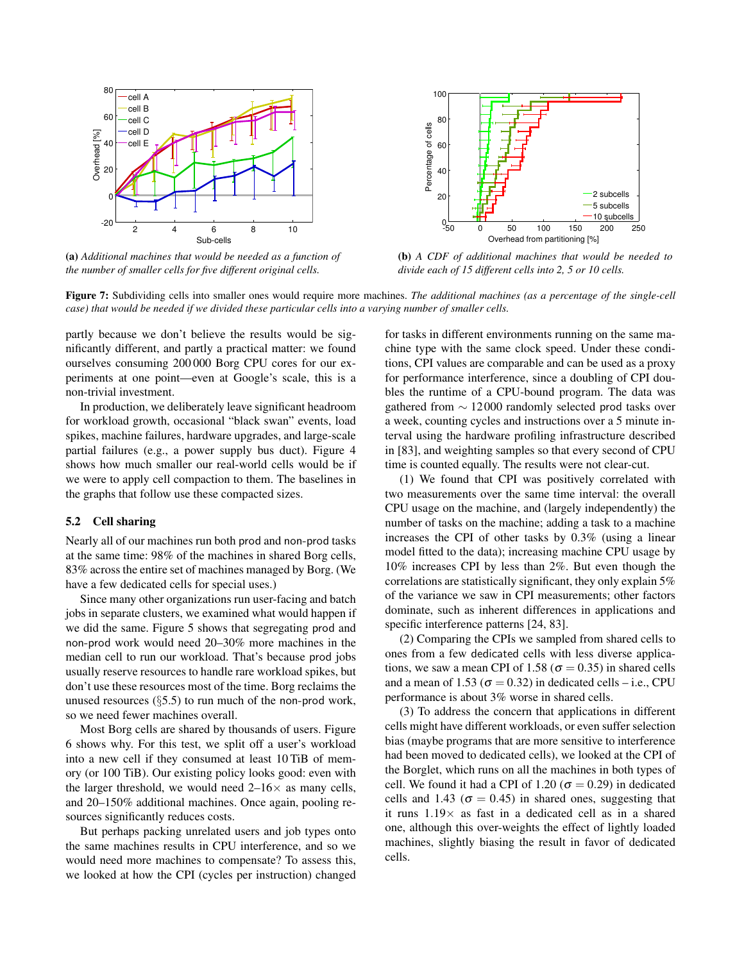

(a) *Additional machines that would be needed as a function of the number of smaller cells for five different original cells.*



(b) *A CDF of additional machines that would be needed to divide each of 15 different cells into 2, 5 or 10 cells.*

Figure 7: Subdividing cells into smaller ones would require more machines. *The additional machines (as a percentage of the single-cell case) that would be needed if we divided these particular cells into a varying number of smaller cells.*

partly because we don't believe the results would be significantly different, and partly a practical matter: we found ourselves consuming 200 000 Borg CPU cores for our experiments at one point—even at Google's scale, this is a non-trivial investment.

In production, we deliberately leave significant headroom for workload growth, occasional "black swan" events, load spikes, machine failures, hardware upgrades, and large-scale partial failures (e.g., a power supply bus duct). Figure 4 shows how much smaller our real-world cells would be if we were to apply cell compaction to them. The baselines in the graphs that follow use these compacted sizes.

#### 5.2 Cell sharing

Nearly all of our machines run both prod and non-prod tasks at the same time: 98% of the machines in shared Borg cells, 83% across the entire set of machines managed by Borg. (We have a few dedicated cells for special uses.)

Since many other organizations run user-facing and batch jobs in separate clusters, we examined what would happen if we did the same. Figure 5 shows that segregating prod and non-prod work would need 20–30% more machines in the median cell to run our workload. That's because prod jobs usually reserve resources to handle rare workload spikes, but don't use these resources most of the time. Borg reclaims the unused resources (§5.5) to run much of the non-prod work, so we need fewer machines overall.

Most Borg cells are shared by thousands of users. Figure 6 shows why. For this test, we split off a user's workload into a new cell if they consumed at least 10 TiB of memory (or 100 TiB). Our existing policy looks good: even with the larger threshold, we would need  $2-16\times$  as many cells, and 20–150% additional machines. Once again, pooling resources significantly reduces costs.

But perhaps packing unrelated users and job types onto the same machines results in CPU interference, and so we would need more machines to compensate? To assess this, we looked at how the CPI (cycles per instruction) changed

for tasks in different environments running on the same machine type with the same clock speed. Under these conditions, CPI values are comparable and can be used as a proxy for performance interference, since a doubling of CPI doubles the runtime of a CPU-bound program. The data was gathered from ∼ 12 000 randomly selected prod tasks over a week, counting cycles and instructions over a 5 minute interval using the hardware profiling infrastructure described in [83], and weighting samples so that every second of CPU time is counted equally. The results were not clear-cut.

(1) We found that CPI was positively correlated with two measurements over the same time interval: the overall CPU usage on the machine, and (largely independently) the number of tasks on the machine; adding a task to a machine increases the CPI of other tasks by 0.3% (using a linear model fitted to the data); increasing machine CPU usage by 10% increases CPI by less than 2%. But even though the correlations are statistically significant, they only explain 5% of the variance we saw in CPI measurements; other factors dominate, such as inherent differences in applications and specific interference patterns [24, 83].

(2) Comparing the CPIs we sampled from shared cells to ones from a few dedicated cells with less diverse applications, we saw a mean CPI of 1.58 ( $\sigma$  = 0.35) in shared cells and a mean of 1.53 ( $\sigma$  = 0.32) in dedicated cells – i.e., CPU performance is about 3% worse in shared cells.

(3) To address the concern that applications in different cells might have different workloads, or even suffer selection bias (maybe programs that are more sensitive to interference had been moved to dedicated cells), we looked at the CPI of the Borglet, which runs on all the machines in both types of cell. We found it had a CPI of 1.20 ( $\sigma = 0.29$ ) in dedicated cells and 1.43 ( $\sigma = 0.45$ ) in shared ones, suggesting that it runs  $1.19\times$  as fast in a dedicated cell as in a shared one, although this over-weights the effect of lightly loaded machines, slightly biasing the result in favor of dedicated cells.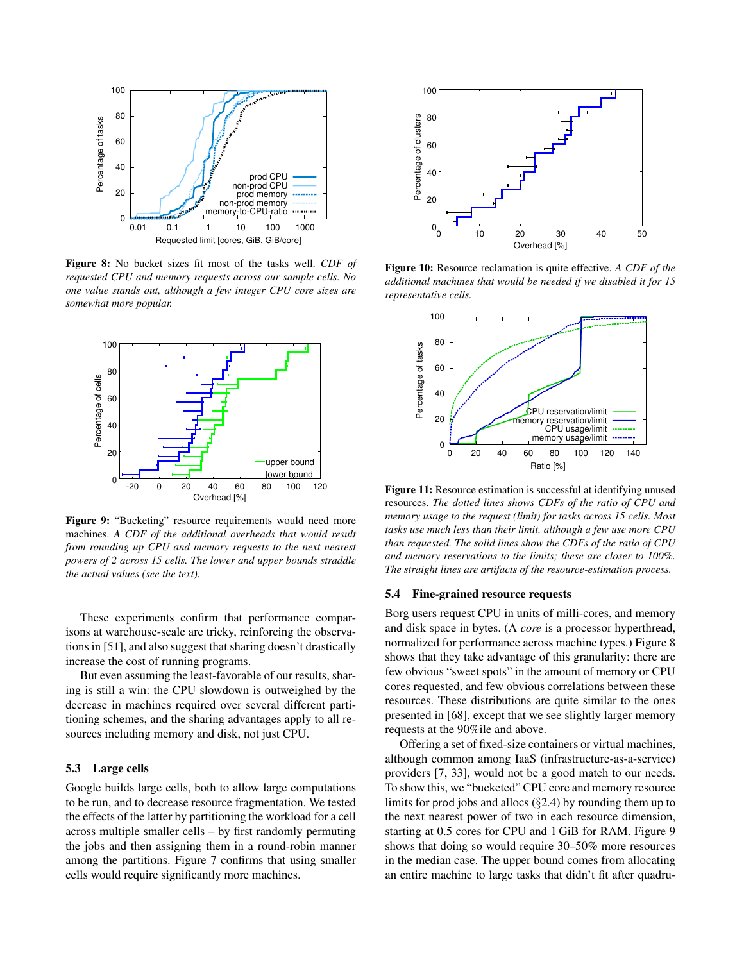

Figure 8: No bucket sizes fit most of the tasks well. *CDF of requested CPU and memory requests across our sample cells. No one value stands out, although a few integer CPU core sizes are somewhat more popular.*



Figure 9: "Bucketing" resource requirements would need more machines. *A CDF of the additional overheads that would result from rounding up CPU and memory requests to the next nearest powers of 2 across 15 cells. The lower and upper bounds straddle the actual values (see the text).*

These experiments confirm that performance comparisons at warehouse-scale are tricky, reinforcing the observations in [51], and also suggest that sharing doesn't drastically increase the cost of running programs.

But even assuming the least-favorable of our results, sharing is still a win: the CPU slowdown is outweighed by the decrease in machines required over several different partitioning schemes, and the sharing advantages apply to all resources including memory and disk, not just CPU.

#### 5.3 Large cells

Google builds large cells, both to allow large computations to be run, and to decrease resource fragmentation. We tested the effects of the latter by partitioning the workload for a cell across multiple smaller cells – by first randomly permuting the jobs and then assigning them in a round-robin manner among the partitions. Figure 7 confirms that using smaller cells would require significantly more machines.



Figure 10: Resource reclamation is quite effective. *A CDF of the additional machines that would be needed if we disabled it for 15 representative cells.*



Figure 11: Resource estimation is successful at identifying unused resources. *The dotted lines shows CDFs of the ratio of CPU and memory usage to the request (limit) for tasks across 15 cells. Most tasks use much less than their limit, although a few use more CPU than requested. The solid lines show the CDFs of the ratio of CPU and memory reservations to the limits; these are closer to 100%. The straight lines are artifacts of the resource-estimation process.*

#### 5.4 Fine-grained resource requests

Borg users request CPU in units of milli-cores, and memory and disk space in bytes. (A *core* is a processor hyperthread, normalized for performance across machine types.) Figure 8 shows that they take advantage of this granularity: there are few obvious "sweet spots" in the amount of memory or CPU cores requested, and few obvious correlations between these resources. These distributions are quite similar to the ones presented in [68], except that we see slightly larger memory requests at the 90%ile and above.

Offering a set of fixed-size containers or virtual machines, although common among IaaS (infrastructure-as-a-service) providers [7, 33], would not be a good match to our needs. To show this, we "bucketed" CPU core and memory resource limits for prod jobs and allocs (§2.4) by rounding them up to the next nearest power of two in each resource dimension, starting at 0.5 cores for CPU and 1 GiB for RAM. Figure 9 shows that doing so would require 30–50% more resources in the median case. The upper bound comes from allocating an entire machine to large tasks that didn't fit after quadru-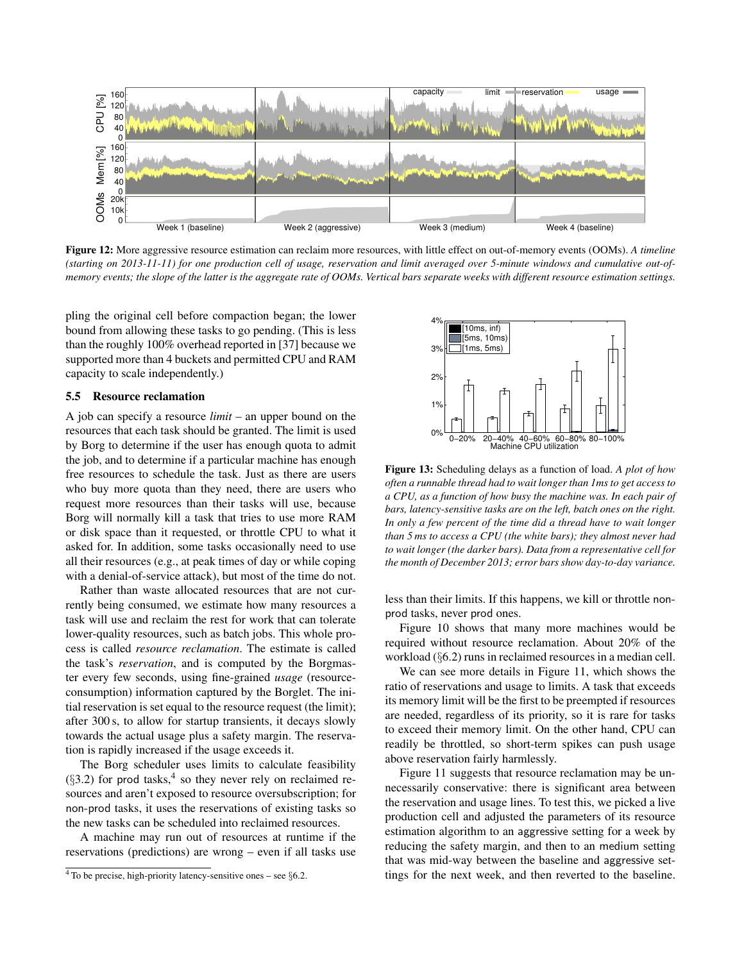

Figure 12: More aggressive resource estimation can reclaim more resources, with little effect on out-of-memory events (OOMs). *A timeline (starting on 2013-11-11) for one production cell of usage, reservation and limit averaged over 5-minute windows and cumulative out-ofmemory events; the slope of the latter is the aggregate rate of OOMs. Vertical bars separate weeks with different resource estimation settings.*

pling the original cell before compaction began; the lower bound from allowing these tasks to go pending. (This is less than the roughly 100% overhead reported in [37] because we supported more than 4 buckets and permitted CPU and RAM capacity to scale independently.)

#### 5.5 Resource reclamation

A job can specify a resource *limit* – an upper bound on the resources that each task should be granted. The limit is used by Borg to determine if the user has enough quota to admit the job, and to determine if a particular machine has enough free resources to schedule the task. Just as there are users who buy more quota than they need, there are users who request more resources than their tasks will use, because Borg will normally kill a task that tries to use more RAM or disk space than it requested, or throttle CPU to what it asked for. In addition, some tasks occasionally need to use all their resources (e.g., at peak times of day or while coping with a denial-of-service attack), but most of the time do not.

Rather than waste allocated resources that are not currently being consumed, we estimate how many resources a task will use and reclaim the rest for work that can tolerate lower-quality resources, such as batch jobs. This whole process is called *resource reclamation*. The estimate is called the task's *reservation*, and is computed by the Borgmaster every few seconds, using fine-grained *usage* (resourceconsumption) information captured by the Borglet. The initial reservation is set equal to the resource request (the limit); after 300 s, to allow for startup transients, it decays slowly towards the actual usage plus a safety margin. The reservation is rapidly increased if the usage exceeds it.

The Borg scheduler uses limits to calculate feasibility  $(\S3.2)$  for prod tasks,<sup>4</sup> so they never rely on reclaimed resources and aren't exposed to resource oversubscription; for non-prod tasks, it uses the reservations of existing tasks so the new tasks can be scheduled into reclaimed resources.

A machine may run out of resources at runtime if the reservations (predictions) are wrong – even if all tasks use



Figure 13: Scheduling delays as a function of load. *A plot of how often a runnable thread had to wait longer than 1ms to get access to a CPU, as a function of how busy the machine was. In each pair of bars, latency-sensitive tasks are on the left, batch ones on the right. In only a few percent of the time did a thread have to wait longer than 5 ms to access a CPU (the white bars); they almost never had to wait longer (the darker bars). Data from a representative cell for the month of December 2013; error bars show day-to-day variance.*

less than their limits. If this happens, we kill or throttle nonprod tasks, never prod ones.

Figure 10 shows that many more machines would be required without resource reclamation. About 20% of the workload (§6.2) runs in reclaimed resources in a median cell.

We can see more details in Figure 11, which shows the ratio of reservations and usage to limits. A task that exceeds its memory limit will be the first to be preempted if resources are needed, regardless of its priority, so it is rare for tasks to exceed their memory limit. On the other hand, CPU can readily be throttled, so short-term spikes can push usage above reservation fairly harmlessly.

Figure 11 suggests that resource reclamation may be unnecessarily conservative: there is significant area between the reservation and usage lines. To test this, we picked a live production cell and adjusted the parameters of its resource estimation algorithm to an aggressive setting for a week by reducing the safety margin, and then to an medium setting that was mid-way between the baseline and aggressive settings for the next week, and then reverted to the baseline.

<sup>4</sup> To be precise, high-priority latency-sensitive ones – see §6.2.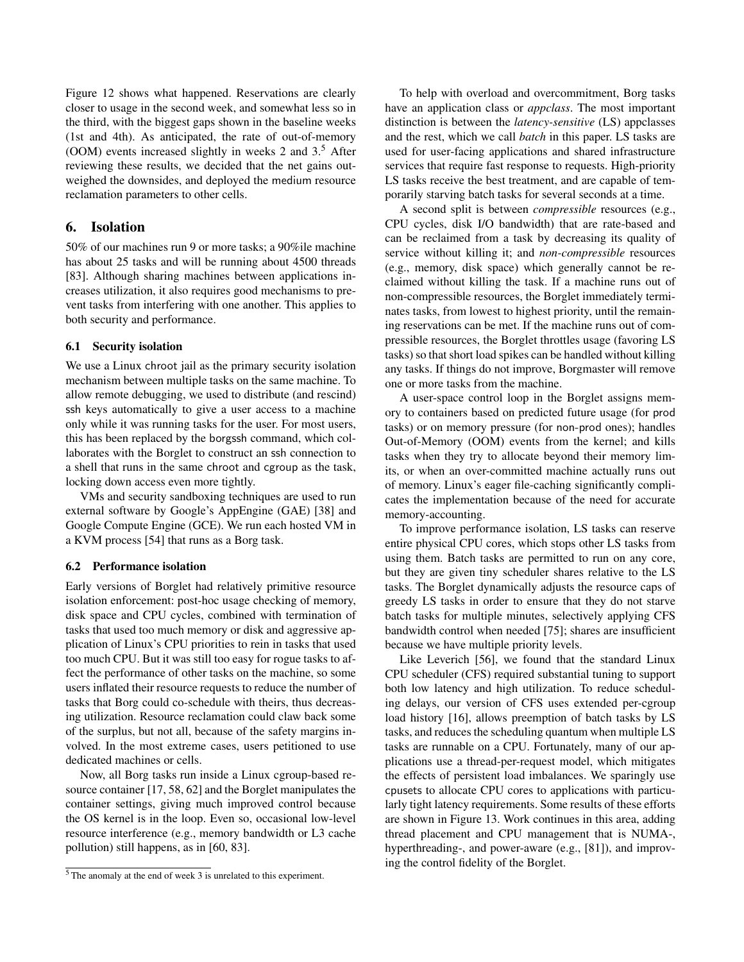Figure 12 shows what happened. Reservations are clearly closer to usage in the second week, and somewhat less so in the third, with the biggest gaps shown in the baseline weeks (1st and 4th). As anticipated, the rate of out-of-memory (OOM) events increased slightly in weeks 2 and  $3<sup>5</sup>$ . After reviewing these results, we decided that the net gains outweighed the downsides, and deployed the medium resource reclamation parameters to other cells.

# 6. Isolation

50% of our machines run 9 or more tasks; a 90%ile machine has about 25 tasks and will be running about 4500 threads [83]. Although sharing machines between applications increases utilization, it also requires good mechanisms to prevent tasks from interfering with one another. This applies to both security and performance.

## 6.1 Security isolation

We use a Linux chroot jail as the primary security isolation mechanism between multiple tasks on the same machine. To allow remote debugging, we used to distribute (and rescind) ssh keys automatically to give a user access to a machine only while it was running tasks for the user. For most users, this has been replaced by the borgssh command, which collaborates with the Borglet to construct an ssh connection to a shell that runs in the same chroot and cgroup as the task, locking down access even more tightly.

VMs and security sandboxing techniques are used to run external software by Google's AppEngine (GAE) [38] and Google Compute Engine (GCE). We run each hosted VM in a KVM process [54] that runs as a Borg task.

## 6.2 Performance isolation

Early versions of Borglet had relatively primitive resource isolation enforcement: post-hoc usage checking of memory, disk space and CPU cycles, combined with termination of tasks that used too much memory or disk and aggressive application of Linux's CPU priorities to rein in tasks that used too much CPU. But it was still too easy for rogue tasks to affect the performance of other tasks on the machine, so some users inflated their resource requests to reduce the number of tasks that Borg could co-schedule with theirs, thus decreasing utilization. Resource reclamation could claw back some of the surplus, but not all, because of the safety margins involved. In the most extreme cases, users petitioned to use dedicated machines or cells.

Now, all Borg tasks run inside a Linux cgroup-based resource container [17, 58, 62] and the Borglet manipulates the container settings, giving much improved control because the OS kernel is in the loop. Even so, occasional low-level resource interference (e.g., memory bandwidth or L3 cache pollution) still happens, as in [60, 83].

To help with overload and overcommitment, Borg tasks have an application class or *appclass*. The most important distinction is between the *latency-sensitive* (LS) appclasses and the rest, which we call *batch* in this paper. LS tasks are used for user-facing applications and shared infrastructure services that require fast response to requests. High-priority LS tasks receive the best treatment, and are capable of temporarily starving batch tasks for several seconds at a time.

A second split is between *compressible* resources (e.g., CPU cycles, disk I/O bandwidth) that are rate-based and can be reclaimed from a task by decreasing its quality of service without killing it; and *non-compressible* resources (e.g., memory, disk space) which generally cannot be reclaimed without killing the task. If a machine runs out of non-compressible resources, the Borglet immediately terminates tasks, from lowest to highest priority, until the remaining reservations can be met. If the machine runs out of compressible resources, the Borglet throttles usage (favoring LS tasks) so that short load spikes can be handled without killing any tasks. If things do not improve, Borgmaster will remove one or more tasks from the machine.

A user-space control loop in the Borglet assigns memory to containers based on predicted future usage (for prod tasks) or on memory pressure (for non-prod ones); handles Out-of-Memory (OOM) events from the kernel; and kills tasks when they try to allocate beyond their memory limits, or when an over-committed machine actually runs out of memory. Linux's eager file-caching significantly complicates the implementation because of the need for accurate memory-accounting.

To improve performance isolation, LS tasks can reserve entire physical CPU cores, which stops other LS tasks from using them. Batch tasks are permitted to run on any core, but they are given tiny scheduler shares relative to the LS tasks. The Borglet dynamically adjusts the resource caps of greedy LS tasks in order to ensure that they do not starve batch tasks for multiple minutes, selectively applying CFS bandwidth control when needed [75]; shares are insufficient because we have multiple priority levels.

Like Leverich [56], we found that the standard Linux CPU scheduler (CFS) required substantial tuning to support both low latency and high utilization. To reduce scheduling delays, our version of CFS uses extended per-cgroup load history [16], allows preemption of batch tasks by LS tasks, and reduces the scheduling quantum when multiple LS tasks are runnable on a CPU. Fortunately, many of our applications use a thread-per-request model, which mitigates the effects of persistent load imbalances. We sparingly use cpusets to allocate CPU cores to applications with particularly tight latency requirements. Some results of these efforts are shown in Figure 13. Work continues in this area, adding thread placement and CPU management that is NUMA-, hyperthreading-, and power-aware (e.g., [81]), and improving the control fidelity of the Borglet.

<sup>5</sup> The anomaly at the end of week 3 is unrelated to this experiment.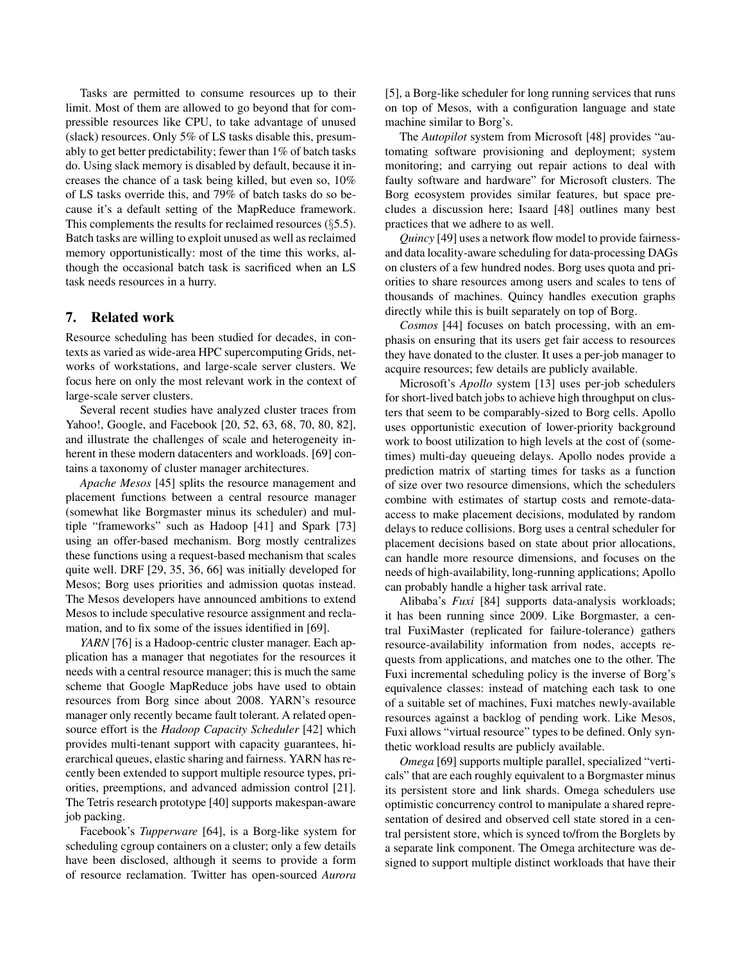Tasks are permitted to consume resources up to their limit. Most of them are allowed to go beyond that for compressible resources like CPU, to take advantage of unused (slack) resources. Only 5% of LS tasks disable this, presumably to get better predictability; fewer than 1% of batch tasks do. Using slack memory is disabled by default, because it increases the chance of a task being killed, but even so, 10% of LS tasks override this, and 79% of batch tasks do so because it's a default setting of the MapReduce framework. This complements the results for reclaimed resources (§5.5). Batch tasks are willing to exploit unused as well as reclaimed memory opportunistically: most of the time this works, although the occasional batch task is sacrificed when an LS task needs resources in a hurry.

# 7. Related work

Resource scheduling has been studied for decades, in contexts as varied as wide-area HPC supercomputing Grids, networks of workstations, and large-scale server clusters. We focus here on only the most relevant work in the context of large-scale server clusters.

Several recent studies have analyzed cluster traces from Yahoo!, Google, and Facebook [20, 52, 63, 68, 70, 80, 82], and illustrate the challenges of scale and heterogeneity inherent in these modern datacenters and workloads. [69] contains a taxonomy of cluster manager architectures.

*Apache Mesos* [45] splits the resource management and placement functions between a central resource manager (somewhat like Borgmaster minus its scheduler) and multiple "frameworks" such as Hadoop [41] and Spark [73] using an offer-based mechanism. Borg mostly centralizes these functions using a request-based mechanism that scales quite well. DRF [29, 35, 36, 66] was initially developed for Mesos; Borg uses priorities and admission quotas instead. The Mesos developers have announced ambitions to extend Mesos to include speculative resource assignment and reclamation, and to fix some of the issues identified in [69].

*YARN* [76] is a Hadoop-centric cluster manager. Each application has a manager that negotiates for the resources it needs with a central resource manager; this is much the same scheme that Google MapReduce jobs have used to obtain resources from Borg since about 2008. YARN's resource manager only recently became fault tolerant. A related opensource effort is the *Hadoop Capacity Scheduler* [42] which provides multi-tenant support with capacity guarantees, hierarchical queues, elastic sharing and fairness. YARN has recently been extended to support multiple resource types, priorities, preemptions, and advanced admission control [21]. The Tetris research prototype [40] supports makespan-aware job packing.

Facebook's *Tupperware* [64], is a Borg-like system for scheduling cgroup containers on a cluster; only a few details have been disclosed, although it seems to provide a form of resource reclamation. Twitter has open-sourced *Aurora*

[5], a Borg-like scheduler for long running services that runs on top of Mesos, with a configuration language and state machine similar to Borg's.

The *Autopilot* system from Microsoft [48] provides "automating software provisioning and deployment; system monitoring; and carrying out repair actions to deal with faulty software and hardware" for Microsoft clusters. The Borg ecosystem provides similar features, but space precludes a discussion here; Isaard [48] outlines many best practices that we adhere to as well.

*Quincy* [49] uses a network flow model to provide fairnessand data locality-aware scheduling for data-processing DAGs on clusters of a few hundred nodes. Borg uses quota and priorities to share resources among users and scales to tens of thousands of machines. Quincy handles execution graphs directly while this is built separately on top of Borg.

*Cosmos* [44] focuses on batch processing, with an emphasis on ensuring that its users get fair access to resources they have donated to the cluster. It uses a per-job manager to acquire resources; few details are publicly available.

Microsoft's *Apollo* system [13] uses per-job schedulers for short-lived batch jobs to achieve high throughput on clusters that seem to be comparably-sized to Borg cells. Apollo uses opportunistic execution of lower-priority background work to boost utilization to high levels at the cost of (sometimes) multi-day queueing delays. Apollo nodes provide a prediction matrix of starting times for tasks as a function of size over two resource dimensions, which the schedulers combine with estimates of startup costs and remote-dataaccess to make placement decisions, modulated by random delays to reduce collisions. Borg uses a central scheduler for placement decisions based on state about prior allocations, can handle more resource dimensions, and focuses on the needs of high-availability, long-running applications; Apollo can probably handle a higher task arrival rate.

Alibaba's *Fuxi* [84] supports data-analysis workloads; it has been running since 2009. Like Borgmaster, a central FuxiMaster (replicated for failure-tolerance) gathers resource-availability information from nodes, accepts requests from applications, and matches one to the other. The Fuxi incremental scheduling policy is the inverse of Borg's equivalence classes: instead of matching each task to one of a suitable set of machines, Fuxi matches newly-available resources against a backlog of pending work. Like Mesos, Fuxi allows "virtual resource" types to be defined. Only synthetic workload results are publicly available.

*Omega* [69] supports multiple parallel, specialized "verticals" that are each roughly equivalent to a Borgmaster minus its persistent store and link shards. Omega schedulers use optimistic concurrency control to manipulate a shared representation of desired and observed cell state stored in a central persistent store, which is synced to/from the Borglets by a separate link component. The Omega architecture was designed to support multiple distinct workloads that have their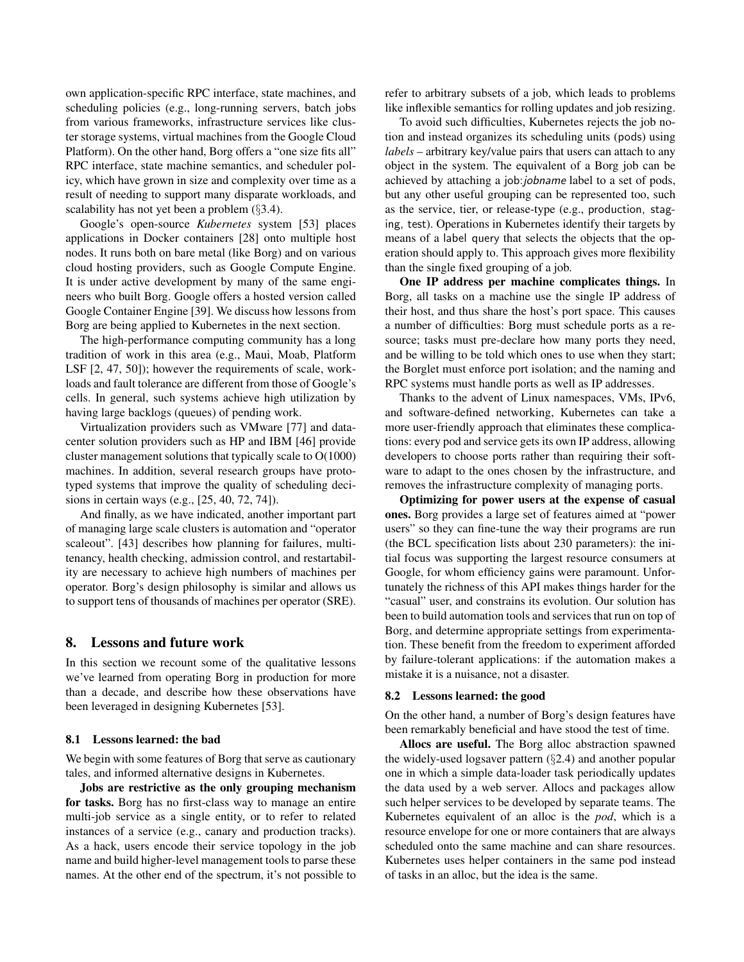own application-specific RPC interface, state machines, and scheduling policies (e.g., long-running servers, batch jobs from various frameworks, infrastructure services like cluster storage systems, virtual machines from the Google Cloud Platform). On the other hand, Borg offers a "one size fits all" RPC interface, state machine semantics, and scheduler policy, which have grown in size and complexity over time as a result of needing to support many disparate workloads, and scalability has not yet been a problem (§3.4).

Google's open-source *Kubernetes* system [53] places applications in Docker containers [28] onto multiple host nodes. It runs both on bare metal (like Borg) and on various cloud hosting providers, such as Google Compute Engine. It is under active development by many of the same engineers who built Borg. Google offers a hosted version called Google Container Engine [39]. We discuss how lessons from Borg are being applied to Kubernetes in the next section.

The high-performance computing community has a long tradition of work in this area (e.g., Maui, Moab, Platform LSF  $[2, 47, 50]$ ; however the requirements of scale, workloads and fault tolerance are different from those of Google's cells. In general, such systems achieve high utilization by having large backlogs (queues) of pending work.

Virtualization providers such as VMware [77] and datacenter solution providers such as HP and IBM [46] provide cluster management solutions that typically scale to O(1000) machines. In addition, several research groups have prototyped systems that improve the quality of scheduling decisions in certain ways (e.g., [25, 40, 72, 74]).

And finally, as we have indicated, another important part of managing large scale clusters is automation and "operator scaleout". [43] describes how planning for failures, multitenancy, health checking, admission control, and restartability are necessary to achieve high numbers of machines per operator. Borg's design philosophy is similar and allows us to support tens of thousands of machines per operator (SRE).

## 8. Lessons and future work

In this section we recount some of the qualitative lessons we've learned from operating Borg in production for more than a decade, and describe how these observations have been leveraged in designing Kubernetes [53].

#### 8.1 Lessons learned: the bad

We begin with some features of Borg that serve as cautionary tales, and informed alternative designs in Kubernetes.

Jobs are restrictive as the only grouping mechanism for tasks. Borg has no first-class way to manage an entire multi-job service as a single entity, or to refer to related instances of a service (e.g., canary and production tracks). As a hack, users encode their service topology in the job name and build higher-level management tools to parse these names. At the other end of the spectrum, it's not possible to

refer to arbitrary subsets of a job, which leads to problems like inflexible semantics for rolling updates and job resizing.

To avoid such difficulties, Kubernetes rejects the job notion and instead organizes its scheduling units (pods) using *labels* – arbitrary key/value pairs that users can attach to any object in the system. The equivalent of a Borg job can be achieved by attaching a job:jobname label to a set of pods, but any other useful grouping can be represented too, such as the service, tier, or release-type (e.g., production, staging, test). Operations in Kubernetes identify their targets by means of a label query that selects the objects that the operation should apply to. This approach gives more flexibility than the single fixed grouping of a job.

One IP address per machine complicates things. In Borg, all tasks on a machine use the single IP address of their host, and thus share the host's port space. This causes a number of difficulties: Borg must schedule ports as a resource; tasks must pre-declare how many ports they need, and be willing to be told which ones to use when they start; the Borglet must enforce port isolation; and the naming and RPC systems must handle ports as well as IP addresses.

Thanks to the advent of Linux namespaces, VMs, IPv6, and software-defined networking, Kubernetes can take a more user-friendly approach that eliminates these complications: every pod and service gets its own IP address, allowing developers to choose ports rather than requiring their software to adapt to the ones chosen by the infrastructure, and removes the infrastructure complexity of managing ports.

Optimizing for power users at the expense of casual ones. Borg provides a large set of features aimed at "power users" so they can fine-tune the way their programs are run (the BCL specification lists about 230 parameters): the initial focus was supporting the largest resource consumers at Google, for whom efficiency gains were paramount. Unfortunately the richness of this API makes things harder for the "casual" user, and constrains its evolution. Our solution has been to build automation tools and services that run on top of Borg, and determine appropriate settings from experimentation. These benefit from the freedom to experiment afforded by failure-tolerant applications: if the automation makes a mistake it is a nuisance, not a disaster.

#### 8.2 Lessons learned: the good

On the other hand, a number of Borg's design features have been remarkably beneficial and have stood the test of time.

Allocs are useful. The Borg alloc abstraction spawned the widely-used logsaver pattern (§2.4) and another popular one in which a simple data-loader task periodically updates the data used by a web server. Allocs and packages allow such helper services to be developed by separate teams. The Kubernetes equivalent of an alloc is the *pod*, which is a resource envelope for one or more containers that are always scheduled onto the same machine and can share resources. Kubernetes uses helper containers in the same pod instead of tasks in an alloc, but the idea is the same.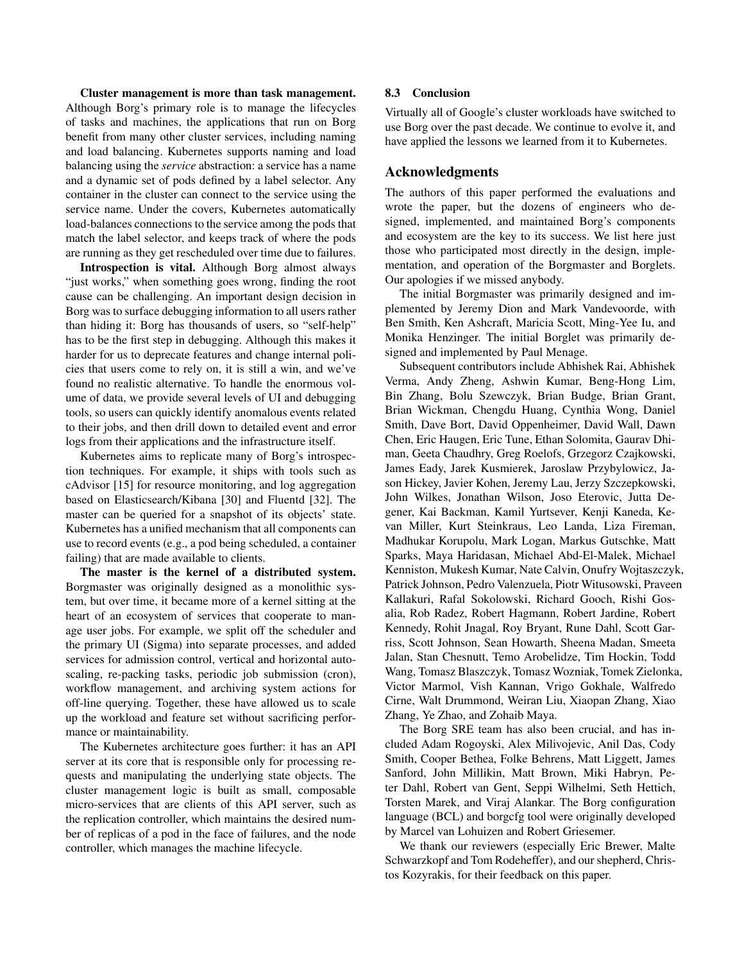Cluster management is more than task management. Although Borg's primary role is to manage the lifecycles of tasks and machines, the applications that run on Borg benefit from many other cluster services, including naming and load balancing. Kubernetes supports naming and load balancing using the *service* abstraction: a service has a name and a dynamic set of pods defined by a label selector. Any container in the cluster can connect to the service using the service name. Under the covers, Kubernetes automatically load-balances connections to the service among the pods that match the label selector, and keeps track of where the pods are running as they get rescheduled over time due to failures.

Introspection is vital. Although Borg almost always "just works," when something goes wrong, finding the root cause can be challenging. An important design decision in Borg was to surface debugging information to all users rather than hiding it: Borg has thousands of users, so "self-help" has to be the first step in debugging. Although this makes it harder for us to deprecate features and change internal policies that users come to rely on, it is still a win, and we've found no realistic alternative. To handle the enormous volume of data, we provide several levels of UI and debugging tools, so users can quickly identify anomalous events related to their jobs, and then drill down to detailed event and error logs from their applications and the infrastructure itself.

Kubernetes aims to replicate many of Borg's introspection techniques. For example, it ships with tools such as cAdvisor [15] for resource monitoring, and log aggregation based on Elasticsearch/Kibana [30] and Fluentd [32]. The master can be queried for a snapshot of its objects' state. Kubernetes has a unified mechanism that all components can use to record events (e.g., a pod being scheduled, a container failing) that are made available to clients.

The master is the kernel of a distributed system. Borgmaster was originally designed as a monolithic system, but over time, it became more of a kernel sitting at the heart of an ecosystem of services that cooperate to manage user jobs. For example, we split off the scheduler and the primary UI (Sigma) into separate processes, and added services for admission control, vertical and horizontal autoscaling, re-packing tasks, periodic job submission (cron), workflow management, and archiving system actions for off-line querying. Together, these have allowed us to scale up the workload and feature set without sacrificing performance or maintainability.

The Kubernetes architecture goes further: it has an API server at its core that is responsible only for processing requests and manipulating the underlying state objects. The cluster management logic is built as small, composable micro-services that are clients of this API server, such as the replication controller, which maintains the desired number of replicas of a pod in the face of failures, and the node controller, which manages the machine lifecycle.

## 8.3 Conclusion

Virtually all of Google's cluster workloads have switched to use Borg over the past decade. We continue to evolve it, and have applied the lessons we learned from it to Kubernetes.

## Acknowledgments

The authors of this paper performed the evaluations and wrote the paper, but the dozens of engineers who designed, implemented, and maintained Borg's components and ecosystem are the key to its success. We list here just those who participated most directly in the design, implementation, and operation of the Borgmaster and Borglets. Our apologies if we missed anybody.

The initial Borgmaster was primarily designed and implemented by Jeremy Dion and Mark Vandevoorde, with Ben Smith, Ken Ashcraft, Maricia Scott, Ming-Yee Iu, and Monika Henzinger. The initial Borglet was primarily designed and implemented by Paul Menage.

Subsequent contributors include Abhishek Rai, Abhishek Verma, Andy Zheng, Ashwin Kumar, Beng-Hong Lim, Bin Zhang, Bolu Szewczyk, Brian Budge, Brian Grant, Brian Wickman, Chengdu Huang, Cynthia Wong, Daniel Smith, Dave Bort, David Oppenheimer, David Wall, Dawn Chen, Eric Haugen, Eric Tune, Ethan Solomita, Gaurav Dhiman, Geeta Chaudhry, Greg Roelofs, Grzegorz Czajkowski, James Eady, Jarek Kusmierek, Jaroslaw Przybylowicz, Jason Hickey, Javier Kohen, Jeremy Lau, Jerzy Szczepkowski, John Wilkes, Jonathan Wilson, Joso Eterovic, Jutta Degener, Kai Backman, Kamil Yurtsever, Kenji Kaneda, Kevan Miller, Kurt Steinkraus, Leo Landa, Liza Fireman, Madhukar Korupolu, Mark Logan, Markus Gutschke, Matt Sparks, Maya Haridasan, Michael Abd-El-Malek, Michael Kenniston, Mukesh Kumar, Nate Calvin, Onufry Wojtaszczyk, Patrick Johnson, Pedro Valenzuela, Piotr Witusowski, Praveen Kallakuri, Rafal Sokolowski, Richard Gooch, Rishi Gosalia, Rob Radez, Robert Hagmann, Robert Jardine, Robert Kennedy, Rohit Jnagal, Roy Bryant, Rune Dahl, Scott Garriss, Scott Johnson, Sean Howarth, Sheena Madan, Smeeta Jalan, Stan Chesnutt, Temo Arobelidze, Tim Hockin, Todd Wang, Tomasz Blaszczyk, Tomasz Wozniak, Tomek Zielonka, Victor Marmol, Vish Kannan, Vrigo Gokhale, Walfredo Cirne, Walt Drummond, Weiran Liu, Xiaopan Zhang, Xiao Zhang, Ye Zhao, and Zohaib Maya.

The Borg SRE team has also been crucial, and has included Adam Rogoyski, Alex Milivojevic, Anil Das, Cody Smith, Cooper Bethea, Folke Behrens, Matt Liggett, James Sanford, John Millikin, Matt Brown, Miki Habryn, Peter Dahl, Robert van Gent, Seppi Wilhelmi, Seth Hettich, Torsten Marek, and Viraj Alankar. The Borg configuration language (BCL) and borgcfg tool were originally developed by Marcel van Lohuizen and Robert Griesemer.

We thank our reviewers (especially Eric Brewer, Malte Schwarzkopf and Tom Rodeheffer), and our shepherd, Christos Kozyrakis, for their feedback on this paper.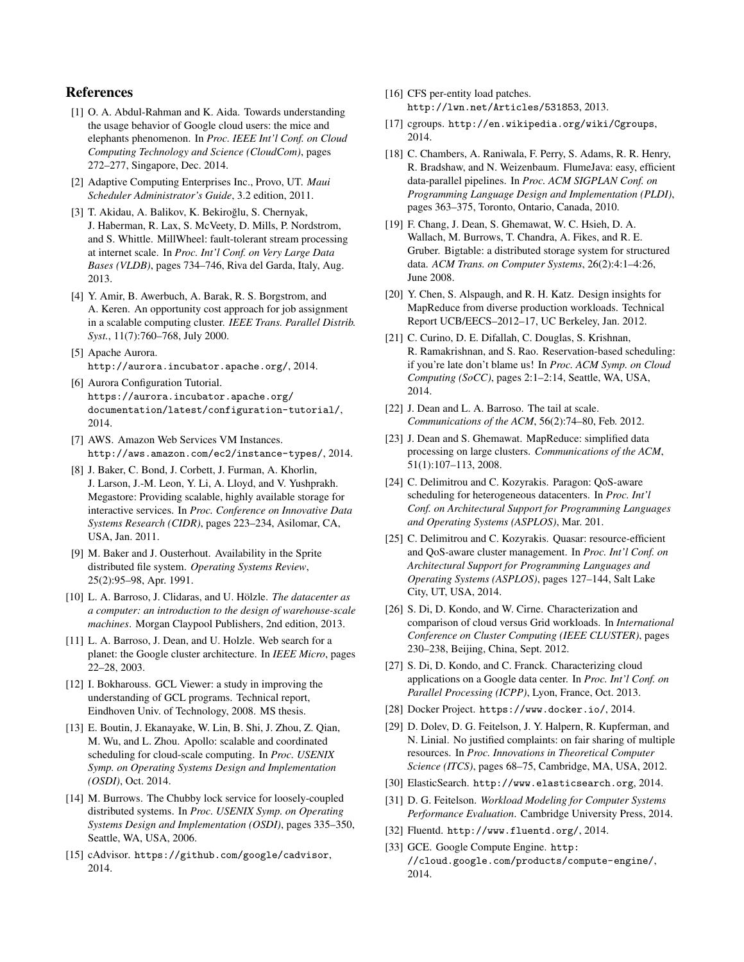# References

- [1] O. A. Abdul-Rahman and K. Aida. Towards understanding the usage behavior of Google cloud users: the mice and elephants phenomenon. In *Proc. IEEE Int'l Conf. on Cloud Computing Technology and Science (CloudCom)*, pages 272–277, Singapore, Dec. 2014.
- [2] Adaptive Computing Enterprises Inc., Provo, UT. *Maui Scheduler Administrator's Guide*, 3.2 edition, 2011.
- [3] T. Akidau, A. Balikov, K. Bekiroğlu, S. Chernyak, J. Haberman, R. Lax, S. McVeety, D. Mills, P. Nordstrom, and S. Whittle. MillWheel: fault-tolerant stream processing at internet scale. In *Proc. Int'l Conf. on Very Large Data Bases (VLDB)*, pages 734–746, Riva del Garda, Italy, Aug. 2013.
- [4] Y. Amir, B. Awerbuch, A. Barak, R. S. Borgstrom, and A. Keren. An opportunity cost approach for job assignment in a scalable computing cluster. *IEEE Trans. Parallel Distrib. Syst.*, 11(7):760–768, July 2000.
- [5] Apache Aurora. http://aurora.incubator.apache.org/, 2014.
- [6] Aurora Configuration Tutorial. https://aurora.incubator.apache.org/ documentation/latest/configuration-tutorial/, 2014.
- [7] AWS. Amazon Web Services VM Instances. http://aws.amazon.com/ec2/instance-types/, 2014.
- [8] J. Baker, C. Bond, J. Corbett, J. Furman, A. Khorlin, J. Larson, J.-M. Leon, Y. Li, A. Lloyd, and V. Yushprakh. Megastore: Providing scalable, highly available storage for interactive services. In *Proc. Conference on Innovative Data Systems Research (CIDR)*, pages 223–234, Asilomar, CA, USA, Jan. 2011.
- [9] M. Baker and J. Ousterhout. Availability in the Sprite distributed file system. *Operating Systems Review*, 25(2):95–98, Apr. 1991.
- [10] L. A. Barroso, J. Clidaras, and U. Hölzle. The datacenter as *a computer: an introduction to the design of warehouse-scale machines*. Morgan Claypool Publishers, 2nd edition, 2013.
- [11] L. A. Barroso, J. Dean, and U. Holzle. Web search for a planet: the Google cluster architecture. In *IEEE Micro*, pages 22–28, 2003.
- [12] I. Bokharouss. GCL Viewer: a study in improving the understanding of GCL programs. Technical report, Eindhoven Univ. of Technology, 2008. MS thesis.
- [13] E. Boutin, J. Ekanayake, W. Lin, B. Shi, J. Zhou, Z. Qian, M. Wu, and L. Zhou. Apollo: scalable and coordinated scheduling for cloud-scale computing. In *Proc. USENIX Symp. on Operating Systems Design and Implementation (OSDI)*, Oct. 2014.
- [14] M. Burrows. The Chubby lock service for loosely-coupled distributed systems. In *Proc. USENIX Symp. on Operating Systems Design and Implementation (OSDI)*, pages 335–350, Seattle, WA, USA, 2006.
- [15] cAdvisor. https://github.com/google/cadvisor, 2014.
- [16] CFS per-entity load patches. http://lwn.net/Articles/531853, 2013.
- [17] cgroups. http://en.wikipedia.org/wiki/Cgroups, 2014.
- [18] C. Chambers, A. Raniwala, F. Perry, S. Adams, R. R. Henry, R. Bradshaw, and N. Weizenbaum. FlumeJava: easy, efficient data-parallel pipelines. In *Proc. ACM SIGPLAN Conf. on Programming Language Design and Implementation (PLDI)*, pages 363–375, Toronto, Ontario, Canada, 2010.
- [19] F. Chang, J. Dean, S. Ghemawat, W. C. Hsieh, D. A. Wallach, M. Burrows, T. Chandra, A. Fikes, and R. E. Gruber. Bigtable: a distributed storage system for structured data. *ACM Trans. on Computer Systems*, 26(2):4:1–4:26, June 2008.
- [20] Y. Chen, S. Alspaugh, and R. H. Katz. Design insights for MapReduce from diverse production workloads. Technical Report UCB/EECS–2012–17, UC Berkeley, Jan. 2012.
- [21] C. Curino, D. E. Difallah, C. Douglas, S. Krishnan, R. Ramakrishnan, and S. Rao. Reservation-based scheduling: if you're late don't blame us! In *Proc. ACM Symp. on Cloud Computing (SoCC)*, pages 2:1–2:14, Seattle, WA, USA, 2014.
- [22] J. Dean and L. A. Barroso. The tail at scale. *Communications of the ACM*, 56(2):74–80, Feb. 2012.
- [23] J. Dean and S. Ghemawat. MapReduce: simplified data processing on large clusters. *Communications of the ACM*, 51(1):107–113, 2008.
- [24] C. Delimitrou and C. Kozyrakis. Paragon: QoS-aware scheduling for heterogeneous datacenters. In *Proc. Int'l Conf. on Architectural Support for Programming Languages and Operating Systems (ASPLOS)*, Mar. 201.
- [25] C. Delimitrou and C. Kozyrakis. Quasar: resource-efficient and QoS-aware cluster management. In *Proc. Int'l Conf. on Architectural Support for Programming Languages and Operating Systems (ASPLOS)*, pages 127–144, Salt Lake City, UT, USA, 2014.
- [26] S. Di, D. Kondo, and W. Cirne. Characterization and comparison of cloud versus Grid workloads. In *International Conference on Cluster Computing (IEEE CLUSTER)*, pages 230–238, Beijing, China, Sept. 2012.
- [27] S. Di, D. Kondo, and C. Franck. Characterizing cloud applications on a Google data center. In *Proc. Int'l Conf. on Parallel Processing (ICPP)*, Lyon, France, Oct. 2013.
- [28] Docker Project. https://www.docker.io/, 2014.
- [29] D. Dolev, D. G. Feitelson, J. Y. Halpern, R. Kupferman, and N. Linial. No justified complaints: on fair sharing of multiple resources. In *Proc. Innovations in Theoretical Computer Science (ITCS)*, pages 68–75, Cambridge, MA, USA, 2012.
- [30] ElasticSearch. http://www.elasticsearch.org, 2014.
- [31] D. G. Feitelson. *Workload Modeling for Computer Systems Performance Evaluation*. Cambridge University Press, 2014.
- [32] Fluentd. http://www.fluentd.org/, 2014.
- [33] GCE. Google Compute Engine. http: //cloud.google.com/products/compute-engine/, 2014.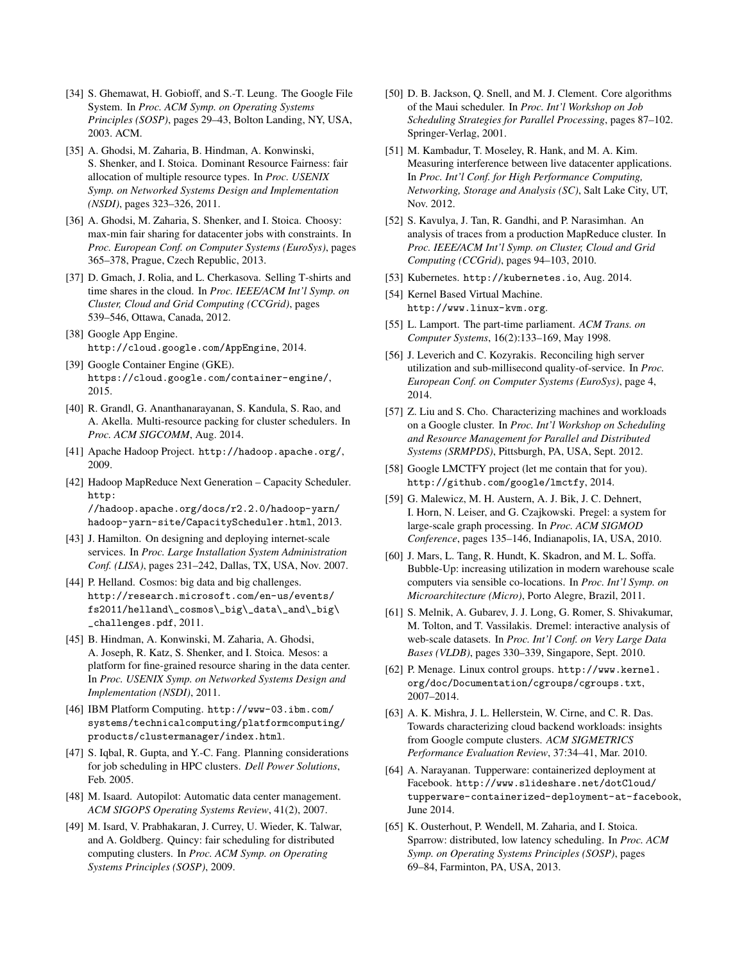- [34] S. Ghemawat, H. Gobioff, and S.-T. Leung. The Google File System. In *Proc. ACM Symp. on Operating Systems Principles (SOSP)*, pages 29–43, Bolton Landing, NY, USA, 2003. ACM.
- [35] A. Ghodsi, M. Zaharia, B. Hindman, A. Konwinski, S. Shenker, and I. Stoica. Dominant Resource Fairness: fair allocation of multiple resource types. In *Proc. USENIX Symp. on Networked Systems Design and Implementation (NSDI)*, pages 323–326, 2011.
- [36] A. Ghodsi, M. Zaharia, S. Shenker, and I. Stoica. Choosy: max-min fair sharing for datacenter jobs with constraints. In *Proc. European Conf. on Computer Systems (EuroSys)*, pages 365–378, Prague, Czech Republic, 2013.
- [37] D. Gmach, J. Rolia, and L. Cherkasova. Selling T-shirts and time shares in the cloud. In *Proc. IEEE/ACM Int'l Symp. on Cluster, Cloud and Grid Computing (CCGrid)*, pages 539–546, Ottawa, Canada, 2012.
- [38] Google App Engine. http://cloud.google.com/AppEngine, 2014.
- [39] Google Container Engine (GKE). https://cloud.google.com/container-engine/, 2015.
- [40] R. Grandl, G. Ananthanarayanan, S. Kandula, S. Rao, and A. Akella. Multi-resource packing for cluster schedulers. In *Proc. ACM SIGCOMM*, Aug. 2014.
- [41] Apache Hadoop Project. http://hadoop.apache.org/, 2009.
- [42] Hadoop MapReduce Next Generation Capacity Scheduler. http: //hadoop.apache.org/docs/r2.2.0/hadoop-yarn/ hadoop-yarn-site/CapacityScheduler.html, 2013.
- [43] J. Hamilton. On designing and deploying internet-scale services. In *Proc. Large Installation System Administration Conf. (LISA)*, pages 231–242, Dallas, TX, USA, Nov. 2007.
- [44] P. Helland. Cosmos: big data and big challenges. http://research.microsoft.com/en-us/events/ fs2011/helland\\_cosmos\\_big\\_data\\_and\\_big\ \_challenges.pdf, 2011.
- [45] B. Hindman, A. Konwinski, M. Zaharia, A. Ghodsi, A. Joseph, R. Katz, S. Shenker, and I. Stoica. Mesos: a platform for fine-grained resource sharing in the data center. In *Proc. USENIX Symp. on Networked Systems Design and Implementation (NSDI)*, 2011.
- [46] IBM Platform Computing. http://www-03.ibm.com/ systems/technicalcomputing/platformcomputing/ products/clustermanager/index.html.
- [47] S. Iqbal, R. Gupta, and Y.-C. Fang. Planning considerations for job scheduling in HPC clusters. *Dell Power Solutions*, Feb. 2005.
- [48] M. Isaard. Autopilot: Automatic data center management. *ACM SIGOPS Operating Systems Review*, 41(2), 2007.
- [49] M. Isard, V. Prabhakaran, J. Currey, U. Wieder, K. Talwar, and A. Goldberg. Quincy: fair scheduling for distributed computing clusters. In *Proc. ACM Symp. on Operating Systems Principles (SOSP)*, 2009.
- [50] D. B. Jackson, Q. Snell, and M. J. Clement. Core algorithms of the Maui scheduler. In *Proc. Int'l Workshop on Job Scheduling Strategies for Parallel Processing*, pages 87–102. Springer-Verlag, 2001.
- [51] M. Kambadur, T. Moseley, R. Hank, and M. A. Kim. Measuring interference between live datacenter applications. In *Proc. Int'l Conf. for High Performance Computing, Networking, Storage and Analysis (SC)*, Salt Lake City, UT, Nov. 2012.
- [52] S. Kavulya, J. Tan, R. Gandhi, and P. Narasimhan. An analysis of traces from a production MapReduce cluster. In *Proc. IEEE/ACM Int'l Symp. on Cluster, Cloud and Grid Computing (CCGrid)*, pages 94–103, 2010.
- [53] Kubernetes. http://kubernetes.io, Aug. 2014.
- [54] Kernel Based Virtual Machine. http://www.linux-kvm.org.
- [55] L. Lamport. The part-time parliament. *ACM Trans. on Computer Systems*, 16(2):133–169, May 1998.
- [56] J. Leverich and C. Kozyrakis. Reconciling high server utilization and sub-millisecond quality-of-service. In *Proc. European Conf. on Computer Systems (EuroSys)*, page 4, 2014.
- [57] Z. Liu and S. Cho. Characterizing machines and workloads on a Google cluster. In *Proc. Int'l Workshop on Scheduling and Resource Management for Parallel and Distributed Systems (SRMPDS)*, Pittsburgh, PA, USA, Sept. 2012.
- [58] Google LMCTFY project (let me contain that for you). http://github.com/google/lmctfy, 2014.
- [59] G. Malewicz, M. H. Austern, A. J. Bik, J. C. Dehnert, I. Horn, N. Leiser, and G. Czajkowski. Pregel: a system for large-scale graph processing. In *Proc. ACM SIGMOD Conference*, pages 135–146, Indianapolis, IA, USA, 2010.
- [60] J. Mars, L. Tang, R. Hundt, K. Skadron, and M. L. Soffa. Bubble-Up: increasing utilization in modern warehouse scale computers via sensible co-locations. In *Proc. Int'l Symp. on Microarchitecture (Micro)*, Porto Alegre, Brazil, 2011.
- [61] S. Melnik, A. Gubarev, J. J. Long, G. Romer, S. Shivakumar, M. Tolton, and T. Vassilakis. Dremel: interactive analysis of web-scale datasets. In *Proc. Int'l Conf. on Very Large Data Bases (VLDB)*, pages 330–339, Singapore, Sept. 2010.
- [62] P. Menage. Linux control groups. http://www.kernel. org/doc/Documentation/cgroups/cgroups.txt, 2007–2014.
- [63] A. K. Mishra, J. L. Hellerstein, W. Cirne, and C. R. Das. Towards characterizing cloud backend workloads: insights from Google compute clusters. *ACM SIGMETRICS Performance Evaluation Review*, 37:34–41, Mar. 2010.
- [64] A. Narayanan. Tupperware: containerized deployment at Facebook. http://www.slideshare.net/dotCloud/ tupperware-containerized-deployment-at-facebook, June 2014.
- [65] K. Ousterhout, P. Wendell, M. Zaharia, and I. Stoica. Sparrow: distributed, low latency scheduling. In *Proc. ACM Symp. on Operating Systems Principles (SOSP)*, pages 69–84, Farminton, PA, USA, 2013.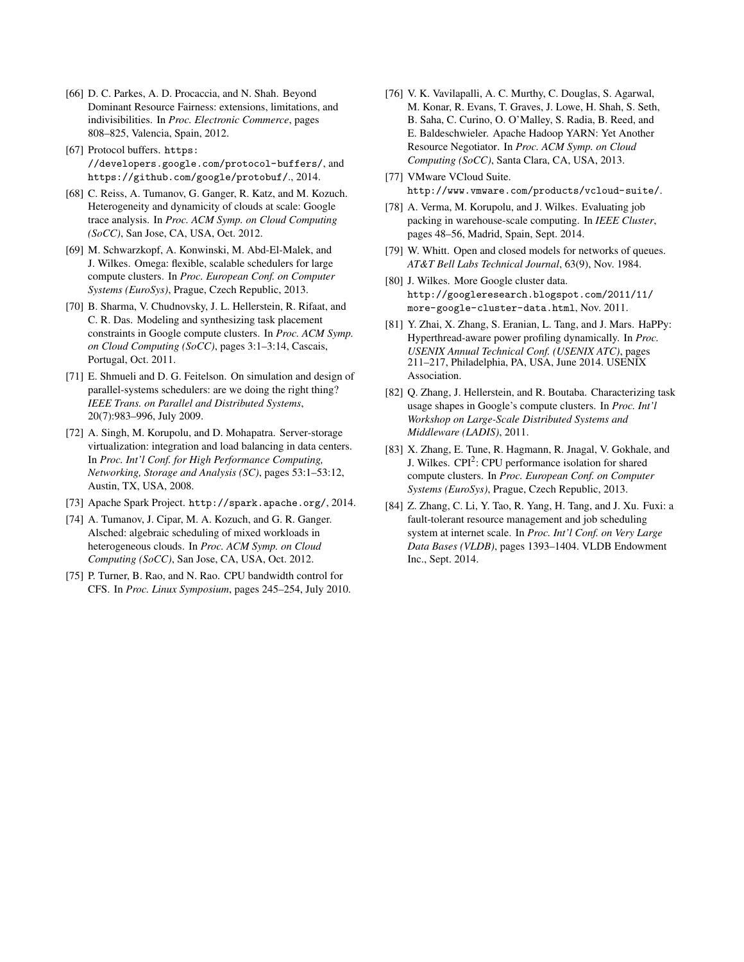- [66] D. C. Parkes, A. D. Procaccia, and N. Shah. Beyond Dominant Resource Fairness: extensions, limitations, and indivisibilities. In *Proc. Electronic Commerce*, pages 808–825, Valencia, Spain, 2012.
- [67] Protocol buffers. https: //developers.google.com/protocol-buffers/, and https://github.com/google/protobuf/., 2014.
- [68] C. Reiss, A. Tumanov, G. Ganger, R. Katz, and M. Kozuch. Heterogeneity and dynamicity of clouds at scale: Google trace analysis. In *Proc. ACM Symp. on Cloud Computing (SoCC)*, San Jose, CA, USA, Oct. 2012.
- [69] M. Schwarzkopf, A. Konwinski, M. Abd-El-Malek, and J. Wilkes. Omega: flexible, scalable schedulers for large compute clusters. In *Proc. European Conf. on Computer Systems (EuroSys)*, Prague, Czech Republic, 2013.
- [70] B. Sharma, V. Chudnovsky, J. L. Hellerstein, R. Rifaat, and C. R. Das. Modeling and synthesizing task placement constraints in Google compute clusters. In *Proc. ACM Symp. on Cloud Computing (SoCC)*, pages 3:1–3:14, Cascais, Portugal, Oct. 2011.
- [71] E. Shmueli and D. G. Feitelson. On simulation and design of parallel-systems schedulers: are we doing the right thing? *IEEE Trans. on Parallel and Distributed Systems*, 20(7):983–996, July 2009.
- [72] A. Singh, M. Korupolu, and D. Mohapatra. Server-storage virtualization: integration and load balancing in data centers. In *Proc. Int'l Conf. for High Performance Computing, Networking, Storage and Analysis (SC)*, pages 53:1–53:12, Austin, TX, USA, 2008.
- [73] Apache Spark Project. http://spark.apache.org/, 2014.
- [74] A. Tumanov, J. Cipar, M. A. Kozuch, and G. R. Ganger. Alsched: algebraic scheduling of mixed workloads in heterogeneous clouds. In *Proc. ACM Symp. on Cloud Computing (SoCC)*, San Jose, CA, USA, Oct. 2012.
- [75] P. Turner, B. Rao, and N. Rao. CPU bandwidth control for CFS. In *Proc. Linux Symposium*, pages 245–254, July 2010.
- [76] V. K. Vavilapalli, A. C. Murthy, C. Douglas, S. Agarwal, M. Konar, R. Evans, T. Graves, J. Lowe, H. Shah, S. Seth, B. Saha, C. Curino, O. O'Malley, S. Radia, B. Reed, and E. Baldeschwieler. Apache Hadoop YARN: Yet Another Resource Negotiator. In *Proc. ACM Symp. on Cloud Computing (SoCC)*, Santa Clara, CA, USA, 2013.
- [77] VMware VCloud Suite. http://www.vmware.com/products/vcloud-suite/.
- [78] A. Verma, M. Korupolu, and J. Wilkes. Evaluating job packing in warehouse-scale computing. In *IEEE Cluster*, pages 48–56, Madrid, Spain, Sept. 2014.
- [79] W. Whitt. Open and closed models for networks of queues. *AT&T Bell Labs Technical Journal*, 63(9), Nov. 1984.
- [80] J. Wilkes. More Google cluster data. http://googleresearch.blogspot.com/2011/11/ more-google-cluster-data.html, Nov. 2011.
- [81] Y. Zhai, X. Zhang, S. Eranian, L. Tang, and J. Mars. HaPPy: Hyperthread-aware power profiling dynamically. In *Proc. USENIX Annual Technical Conf. (USENIX ATC)*, pages 211–217, Philadelphia, PA, USA, June 2014. USENIX Association.
- [82] Q. Zhang, J. Hellerstein, and R. Boutaba. Characterizing task usage shapes in Google's compute clusters. In *Proc. Int'l Workshop on Large-Scale Distributed Systems and Middleware (LADIS)*, 2011.
- [83] X. Zhang, E. Tune, R. Hagmann, R. Jnagal, V. Gokhale, and J. Wilkes. CPI<sup>2</sup>: CPU performance isolation for shared compute clusters. In *Proc. European Conf. on Computer Systems (EuroSys)*, Prague, Czech Republic, 2013.
- [84] Z. Zhang, C. Li, Y. Tao, R. Yang, H. Tang, and J. Xu. Fuxi: a fault-tolerant resource management and job scheduling system at internet scale. In *Proc. Int'l Conf. on Very Large Data Bases (VLDB)*, pages 1393–1404. VLDB Endowment Inc., Sept. 2014.